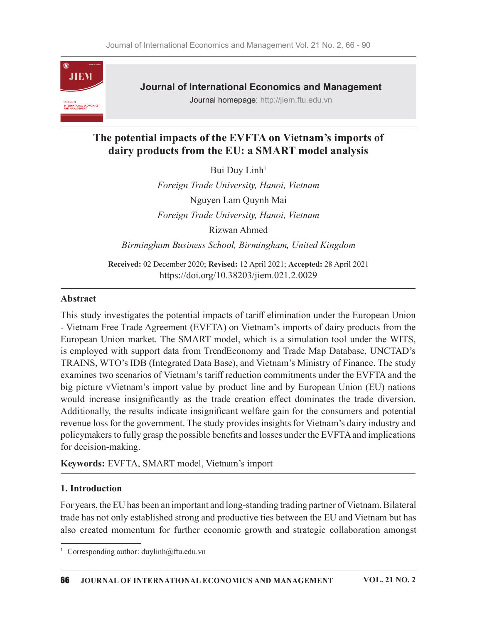

Journal of International Economics and Management

Journal homepage: http://jiem.ftu.edu.vn

# The potential impacts of the EVFTA on Vietnam's imports of dairy products from the EU: a SMART model analysis

Bui Duy Linh<sup>1</sup>

Foreign Trade University, Hanoi, Vietnam Nguyen Lam Quynh Mai Foreign Trade University, Hanoi, Vietnam Rizwan Ahmed Birmingham Business School, Birmingham, United Kingdom

Received: 02 December 2020; Revised: 12 April 2021; Accepted: 28 April 2021 https://doi.org/10.38203/jiem.021.2.0029

### Abstract

This study investigates the potential impacts of tariff elimination under the European Union - Vietnam Free Trade Agreement (EVFTA) on Vietnam's imports of dairy products from the European Union market. The SMART model, which is a simulation tool under the WITS, is employed with support data from TrendEconomy and Trade Map Database, UNCTAD's TRAINS, WTO's IDB (Integrated Data Base), and Vietnam's Ministry of Finance. The study examines two scenarios of Vietnam's tariff reduction commitments under the EVFTA and the big picture vVietnam's import value by product line and by European Union (EU) nations would increase insignificantly as the trade creation effect dominates the trade diversion. Additionally, the results indicate insignificant welfare gain for the consumers and potential revenue loss for the government. The study provides insights for Vietnam's dairy industry and policymakers to fully grasp the possible benefits and losses under the EVFTA and implications for decision-making.

Keywords: EVFTA, SMART model, Vietnam's import

# 1. Introduction

For years, the EU has been an important and long-standing trading partner of Vietnam. Bilateral trade has not only established strong and productive ties between the EU and Vietnam but has also created momentum for further economic growth and strategic collaboration amongst

<sup>&</sup>lt;sup>1</sup> Corresponding author: duylinh@ftu.edu.vn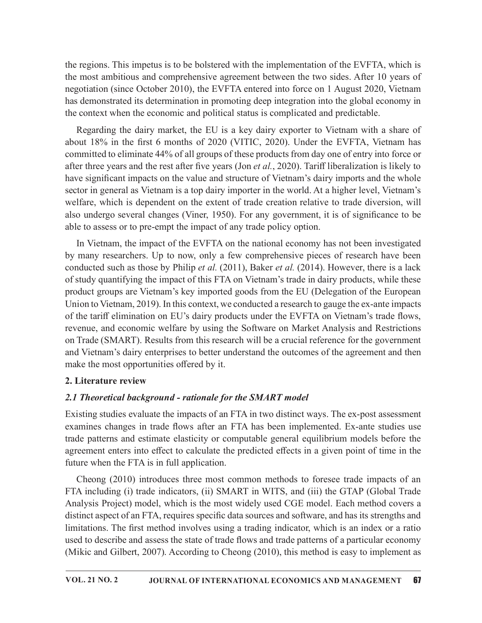the regions. This impetus is to be bolstered with the implementation of the EVFTA, which is the most ambitious and comprehensive agreement between the two sides. After 10 years of negotiation (since October 2010), the EVFTA entered into force on 1 August 2020, Vietnam has demonstrated its determination in promoting deep integration into the global economy in the context when the economic and political status is complicated and predictable.

Regarding the dairy market, the EU is a key dairy exporter to Vietnam with a share of the regions. This impetus is to be bolstered with the implementation of the EVFTA, which is<br>the most ambitious and comprehensive agreement between the two sides. After 10 years of<br>negotiation (since October 2010), the EVF committed to eliminate 44% of all groups of these products from day one of entry into force or after three years and the rest after five years (Jon et  $al$ , 2020). Tariff liberalization is likely to have significant impacts on the value and structure of Vietnam's dairy imports and the whole sector in general as Vietnam is a top dairy importer in the world. At a higher level, Vietnam's welfare, which is dependent on the extent of trade creation relative to trade diversion, will also undergo several changes (Viner, 1950). For any government, it is of significance to be able to assess or to pre-empt the impact of any trade policy option.

In Vietnam, the impact of the EVFTA on the national economy has not been investigated by many researchers. Up to now, only a few comprehensive pieces of research have been conducted such as those by Philip et al. (2011), Baker et al. (2014). However, there is a lack of study quantifying the impact of this FTA on Vietnam's trade in dairy products, while these product groups are Vietnam's key imported goods from the EU (Delegation of the European Union to Vietnam, 2019). In this context, we conducted a research to gauge the ex-ante impacts of the tariff elimination on EU's dairy products under the EVFTA on Vietnam's trade flows, revenue, and economic welfare by using the Software on Market Analysis and Restrictions on Trade (SMART). Results from this research will be a crucial reference for the government and Vietnam's dairy enterprises to better understand the outcomes of the agreement and then make the most opportunities offered by it.

### 2. Literature review

### 2.1 Theoretical background - rationale for the SMART model

Existing studies evaluate the impacts of an FTA in two distinct ways. The ex-post assessment examines changes in trade flows after an FTA has been implemented. Ex-ante studies use trade patterns and estimate elasticity or computable general equilibrium models before the agreement enters into effect to calculate the predicted effects in a given point of time in the future when the FTA is in full application.

Cheong (2010) introduces three most common methods to foresee trade impacts of an FTA including (i) trade indicators, (ii) SMART in WITS, and (iii) the GTAP (Global Trade Analysis Project) model, which is the most widely used CGE model. Each method covers a distinct aspect of an FTA, requires specific data sources and software, and has its strengths and limitations. The first method involves using a trading indicator, which is an index or a ratio used to describe and assess the state of trade flows and trade patterns of a particular economy (Mikic and Gilbert, 2007). According to Cheong (2010), this method is easy to implement as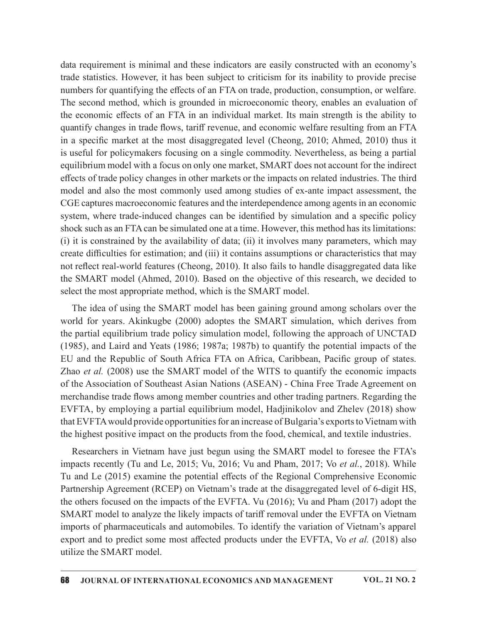data requirement is minimal and these indicators are easily constructed with an economy's trade statistics. However, it has been subject to criticism for its inability to provide precise numbers for quantifying the effects of an FTA on trade, production, consumption, or welfare. The second method, which is grounded in microeconomic theory, enables an evaluation of the economic effects of an FTA in an individual market. Its main strength is the ability to quantify changes in trade flows, tariff revenue, and economic welfare resulting from an FTA in a specific market at the most disaggregated level (Cheong, 2010; Ahmed, 2010) thus it is useful for policymakers focusing on a single commodity. Nevertheless, as being a partial equilibrium model with a focus on only one market, SMART does not account for the indirect effects of trade policy changes in other markets or the impacts on related industries. The third model and also the most commonly used among studies of ex-ante impact assessment, the CGE captures macroeconomic features and the interdependence among agents in an economic system, where trade-induced changes can be identified by simulation and a specific policy shock such as an FTA can be simulated one at a time. However, this method has its limitations: (i) it is constrained by the availability of data; (ii) it involves many parameters, which may create difficulties for estimation; and (iii) it contains assumptions or characteristics that may not reflect real-world features (Cheong, 2010). It also fails to handle disaggregated data like the SMART model (Ahmed, 2010). Based on the objective of this research, we decided to select the most appropriate method, which is the SMART model.

The idea of using the SMART model has been gaining ground among scholars over the world for years. Akinkugbe (2000) adoptes the SMART simulation, which derives from the partial equilibrium trade policy simulation model, following the approach of UNCTAD (1985), and Laird and Yeats (1986; 1987a; 1987b) to quantify the potential impacts of the EU and the Republic of South Africa FTA on Africa, Caribbean, Pacific group of states. Zhao et al. (2008) use the SMART model of the WITS to quantify the economic impacts of the Association of Southeast Asian Nations (ASEAN) - China Free Trade Agreement on merchandise trade flows among member countries and other trading partners. Regarding the EVFTA, by employing a partial equilibrium model, Hadjinikolov and Zhelev (2018) show that EVFTA would provide opportunities for an increase of Bulgaria's exports to Vietnam with the highest positive impact on the products from the food, chemical, and textile industries.

Researchers in Vietnam have just begun using the SMART model to foresee the FTA's impacts recently (Tu and Le, 2015; Vu, 2016; Vu and Pham, 2017; Vo et al., 2018). While Tu and Le (2015) examine the potential effects of the Regional Comprehensive Economic Partnership Agreement (RCEP) on Vietnam's trade at the disaggregated level of 6-digit HS, the others focused on the impacts of the EVFTA. Vu (2016); Vu and Pham (2017) adopt the SMART model to analyze the likely impacts of tariff removal under the EVFTA on Vietnam imports of pharmaceuticals and automobiles. To identify the variation of Vietnam's apparel export and to predict some most affected products under the EVFTA, Vo et al. (2018) also utilize the SMART model.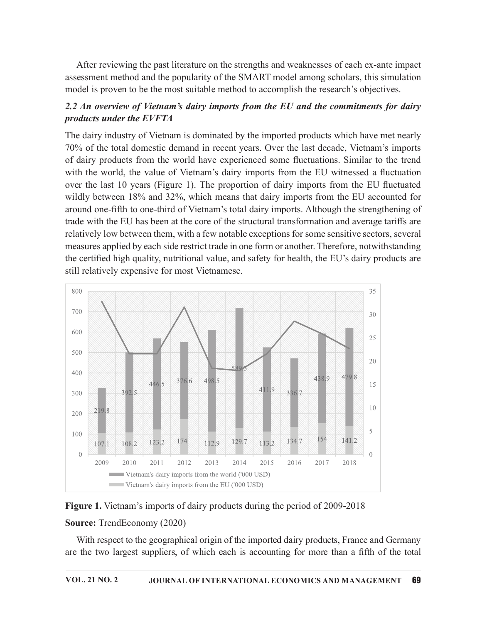After reviewing the past literature on the strengths and weaknesses of each ex-ante impact assessment method and the popularity of the SMART model among scholars, this simulation model is proven to be the most suitable method to accomplish the research's objectives.

# 2.2 An overview of Vietnam's dairy imports from the EU and the commitments for dairy products under the EVFTA

The dairy industry of Vietnam is dominated by the imported products which have met nearly 70% of the total domestic demand in recent years. Over the last decade, Vietnam's imports of dairy products from the world have experienced some fluctuations. Similar to the trend with the world, the value of Vietnam's dairy imports from the EU witnessed a fluctuation over the last 10 years (Figure 1). The proportion of dairy imports from the EU fluctuated wildly between 18% and 32%, which means that dairy imports from the EU accounted for around one-fifth to one-third of Vietnam's total dairy imports. Although the strengthening of trade with the EU has been at the core of the structural transformation and average tariffs are relatively low between them, with a few notable exceptions for some sensitive sectors, several measures applied by each side restrict trade in one form or another. Therefore, notwithstanding the certified high quality, nutritional value, and safety for health, the EU's dairy products are still relatively expensive for most Vietnamese.



#### Figure 1. Vietnam's imports of dairy products during the period of 2009-2018

#### Source: TrendEconomy (2020)

With respect to the geographical origin of the imported dairy products, France and Germany are the two largest suppliers, of which each is accounting for more than a fifth of the total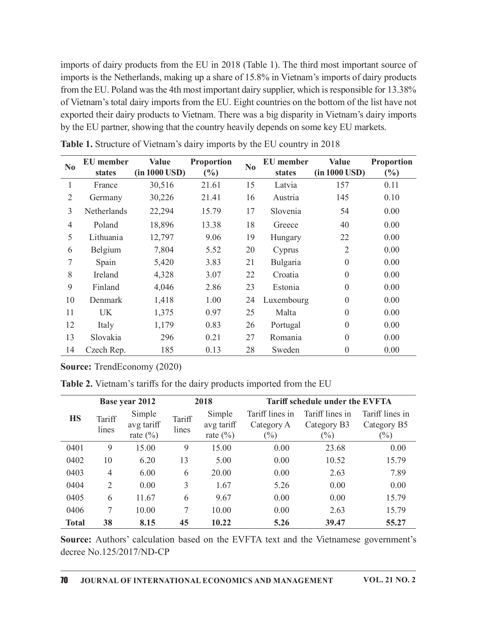|                |                                    |                                         |                 |                                                                         |    |                                      | imports of dairy products from the EU in 2018 (Table 1). The third most important source of                                                                                                        |                                          |
|----------------|------------------------------------|-----------------------------------------|-----------------|-------------------------------------------------------------------------|----|--------------------------------------|----------------------------------------------------------------------------------------------------------------------------------------------------------------------------------------------------|------------------------------------------|
|                |                                    |                                         |                 |                                                                         |    |                                      | imports is the Netherlands, making up a share of 15.8% in Vietnam's imports of dairy products                                                                                                      |                                          |
|                |                                    |                                         |                 |                                                                         |    |                                      | from the EU. Poland was the 4th most important dairy supplier, which is responsible for 13.38%                                                                                                     |                                          |
|                |                                    |                                         |                 |                                                                         |    |                                      | of Vietnam's total dairy imports from the EU. Eight countries on the bottom of the list have not<br>exported their dairy products to Vietnam. There was a big disparity in Vietnam's dairy imports |                                          |
|                |                                    |                                         |                 |                                                                         |    |                                      | by the EU partner, showing that the country heavily depends on some key EU markets.                                                                                                                |                                          |
|                |                                    |                                         |                 |                                                                         |    |                                      |                                                                                                                                                                                                    |                                          |
|                |                                    |                                         |                 | Table 1. Structure of Vietnam's dairy imports by the EU country in 2018 |    |                                      |                                                                                                                                                                                                    |                                          |
| No             | <b>EU</b> member<br>states         | <b>Value</b><br>$(in 1000 \text{ USD})$ |                 | Proportion<br>(%)                                                       | No | <b>EU</b> member<br>states           | <b>Value</b><br>(in 1000 USD)                                                                                                                                                                      | Proportion<br>(%)                        |
| $\mathbf{1}$   | France                             | 30,516                                  |                 | 21.61                                                                   | 15 | Latvia                               | 157                                                                                                                                                                                                | 0.11                                     |
| $\overline{2}$ | Germany                            | 30,226                                  |                 | 21.41                                                                   | 16 | Austria                              | 145                                                                                                                                                                                                | 0.10                                     |
| 3              | Netherlands                        | 22,294                                  |                 | 15.79                                                                   | 17 | Slovenia                             | 54                                                                                                                                                                                                 | 0.00                                     |
| 4              | Poland                             | 18,896                                  |                 | 13.38                                                                   | 18 | Greece                               | 40                                                                                                                                                                                                 | 0.00                                     |
| 5              | Lithuania                          | 12,797                                  |                 | 9.06                                                                    | 19 | Hungary                              | 22                                                                                                                                                                                                 | 0.00                                     |
| 6              | Belgium                            | 7,804                                   |                 | 5.52                                                                    | 20 | Cyprus                               | 2                                                                                                                                                                                                  | 0.00                                     |
| 7              | Spain                              | 5,420                                   |                 | 3.83                                                                    | 21 | Bulgaria                             | $\boldsymbol{0}$                                                                                                                                                                                   | 0.00                                     |
| 8              | Ireland                            | 4,328                                   |                 | 3.07                                                                    | 22 | Croatia                              | $\theta$                                                                                                                                                                                           | 0.00                                     |
| 9              | Finland                            | 4,046                                   |                 | 2.86                                                                    | 23 | Estonia                              | $\theta$                                                                                                                                                                                           | 0.00                                     |
| 10             | Denmark                            | 1,418                                   |                 | 1.00                                                                    | 24 | Luxembourg                           | $\overline{0}$                                                                                                                                                                                     | 0.00                                     |
| 11             | <b>UK</b>                          | 1,375                                   |                 | 0.97                                                                    | 25 | Malta                                | $\theta$                                                                                                                                                                                           | 0.00                                     |
| 12             | Italy                              | 1,179                                   |                 | 0.83                                                                    | 26 | Portugal                             | $\Omega$                                                                                                                                                                                           | 0.00                                     |
| 13             | Slovakia                           | 296                                     |                 | 0.21                                                                    | 27 | Romania                              | $\mathbf{0}$                                                                                                                                                                                       | 0.00                                     |
| 14             | Czech Rep.                         | 185                                     |                 | 0.13                                                                    | 28 | Sweden                               | $\boldsymbol{0}$                                                                                                                                                                                   | 0.00                                     |
|                | <b>Source:</b> TrendEconomy (2020) |                                         |                 |                                                                         |    |                                      |                                                                                                                                                                                                    |                                          |
|                |                                    |                                         |                 | Table 2. Vietnam's tariffs for the dairy products imported from the EU  |    |                                      |                                                                                                                                                                                                    |                                          |
|                | Base year 2012                     |                                         |                 | 2018                                                                    |    |                                      | Tariff schedule under the EVFTA                                                                                                                                                                    |                                          |
| <b>HS</b>      | Tariff<br>lines                    | Simple<br>avg tariff<br>rate $(\%)$     | Tariff<br>lines | Simple<br>avg tariff<br>rate $(\%)$                                     |    | Tariff lines in<br>Category A<br>(%) | Tariff lines in<br>Category B3<br>$(\%)$                                                                                                                                                           | Tariff lines in<br>Category B5<br>$(\%)$ |
| 0401           | 9                                  | 15.00                                   | 9               | 15.00                                                                   |    | 0.00                                 | 23.68                                                                                                                                                                                              | 0.00                                     |
| 0402           | 10                                 | 6.20                                    | 13              | 5.00                                                                    |    | 0.00                                 | 10.52                                                                                                                                                                                              | 15.79                                    |

Table 1. Structure of Vietnam's dairy imports by the EU country in 2018

Table 2. Vietnam's tariffs for the dairy products imported from the EU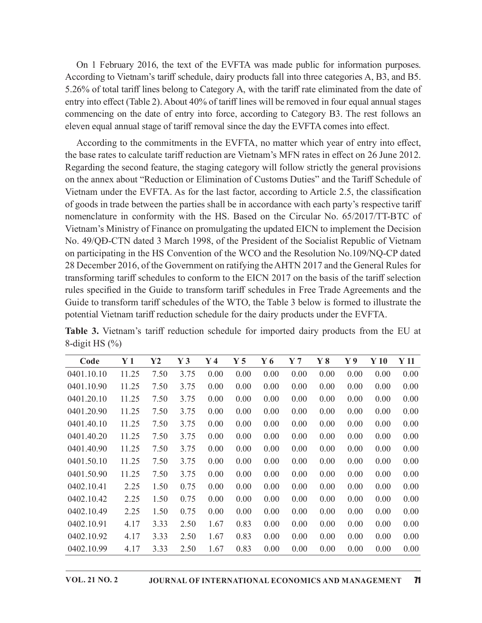On 1 February 2016, the text of the EVFTA was made public for information purposes. According to Vietnam's tariff schedule, dairy products fall into three categories A, B3, and B5. 5.26% of total tariff lines belong to Category A, with the tariff rate eliminated from the date of entry into effect (Table 2). About 40% of tariff lines will be removed in four equal annual stages commencing on the date of entry into force, according to Category B3. The rest follows an eleven equal annual stage of tariff removal since the day the EVFTA comes into effect.

According to the commitments in the EVFTA, no matter which year of entry into effect, the base rates to calculate tariff reduction are Vietnam's MFN rates in effect on 26 June 2012. Regarding the second feature, the staging category will follow strictly the general provisions on the annex about "Reduction or Elimination of Customs Duties" and the Tariff Schedule of Vietnam under the EVFTA. As for the last factor, according to Article 2.5, the classification of goods in trade between the parties shall be in accordance with each party's respective tariff nomenclature in conformity with the HS. Based on the Circular No. 65/2017/TT-BTC of Vietnam's Ministry of Finance on promulgating the updated EICN to implement the Decision No. 49/QĐ-CTN dated 3 March 1998, of the President of the Socialist Republic of Vietnam on participating in the HS Convention of the WCO and the Resolution No.109/NQ-CP dated 28 December 2016, of the Government on ratifying the AHTN 2017 and the General Rules for transforming tariff schedules to conform to the EICN 2017 on the basis of the tariff selection rules specified in the Guide to transform tariff schedules in Free Trade Agreements and the Guide to transform tariff schedules of the WTO, the Table 3 below is formed to illustrate the potential Vietnam tariff reduction schedule for the dairy products under the EVFTA. ariany in es escoura reautate, the suagreg tacegoiny win rotonos stated power stated positions the mark about "Reduction or Elimination of Customs Duties" and the Tariff Schedule of tham under the EVFTA. As for the last f In the annex about "Reduction or Lithmantion or Custisms Duttes" and the larith Schedule of<br>
Wietnam under the EVFTA. As for the last factor, according to Article 2.5, the classification<br>
of goods in trade between the par ivelum under the EVFTA. As for the attaction, according to Article 2.5, the classification<br>of goods in trade between the parties shall be in accordance with each party's respective tariff<br>nomenclature in conformity with t proof some trace between the practices shall be in accordance with each party sepective larit<br>one-mediature in conformity with the HS. Based on the Circular No. 65/2017/TT-BTC of<br>Vietnam's Ministry of Finance on promulgat

| Vietnam's Ministry of Finance on promulgating the updated EICN to implement the Decision<br>No. 49/QĐ-CTN dated 3 March 1998, of the President of the Socialist Republic of Vietnam<br>on participating in the HS Convention of the WCO and the Resolution No.109/NQ-CP dated<br>28 December 2016, of the Government on ratifying the AHTN 2017 and the General Rules for<br>transforming tariff schedules to conform to the EICN 2017 on the basis of the tariff selection<br>rules specified in the Guide to transform tariff schedules in Free Trade Agreements and the<br>Guide to transform tariff schedules of the WTO, the Table 3 below is formed to illustrate the |                |      |                |                |                                                   |       |                |      |                |        |        |
|-----------------------------------------------------------------------------------------------------------------------------------------------------------------------------------------------------------------------------------------------------------------------------------------------------------------------------------------------------------------------------------------------------------------------------------------------------------------------------------------------------------------------------------------------------------------------------------------------------------------------------------------------------------------------------|----------------|------|----------------|----------------|---------------------------------------------------|-------|----------------|------|----------------|--------|--------|
| potential Vietnam tariff reduction schedule for the dairy products under the EVFTA.<br>Table 3. Vietnam's tariff reduction schedule for imported dairy products from the EU at<br>8-digit HS $(\%)$                                                                                                                                                                                                                                                                                                                                                                                                                                                                         |                |      |                |                |                                                   |       |                |      |                |        |        |
| Code                                                                                                                                                                                                                                                                                                                                                                                                                                                                                                                                                                                                                                                                        | Y <sub>1</sub> | Y2   | Y <sub>3</sub> | Y <sub>4</sub> | Y <sub>5</sub>                                    | $Y_6$ | Y <sub>7</sub> | Y8   | Y <sub>9</sub> | $Y$ 10 | $Y$ 11 |
| 0401.10.10                                                                                                                                                                                                                                                                                                                                                                                                                                                                                                                                                                                                                                                                  | 11.25          | 7.50 | 3.75           | 0.00           | 0.00                                              | 0.00  | 0.00           | 0.00 | 0.00           | 0.00   | 0.00   |
| 0401.10.90                                                                                                                                                                                                                                                                                                                                                                                                                                                                                                                                                                                                                                                                  | 11.25          | 7.50 | 3.75           | 0.00           | 0.00                                              | 0.00  | 0.00           | 0.00 | 0.00           | 0.00   | 0.00   |
| 0401.20.10                                                                                                                                                                                                                                                                                                                                                                                                                                                                                                                                                                                                                                                                  | 11.25          | 7.50 | 3.75           | 0.00           | 0.00                                              | 0.00  | 0.00           | 0.00 | 0.00           | 0.00   | 0.00   |
| 0401.20.90                                                                                                                                                                                                                                                                                                                                                                                                                                                                                                                                                                                                                                                                  | 11.25          | 7.50 | 3.75           | 0.00           | 0.00                                              | 0.00  | 0.00           | 0.00 | 0.00           | 0.00   | 0.00   |
| 0401.40.10                                                                                                                                                                                                                                                                                                                                                                                                                                                                                                                                                                                                                                                                  | 11.25          | 7.50 | 3.75           | 0.00           | 0.00                                              | 0.00  | 0.00           | 0.00 | 0.00           | 0.00   | 0.00   |
| 0401.40.20                                                                                                                                                                                                                                                                                                                                                                                                                                                                                                                                                                                                                                                                  | 11.25          | 7.50 | 3.75           | 0.00           | 0.00                                              | 0.00  | 0.00           | 0.00 | 0.00           | 0.00   | 0.00   |
| 0401.40.90                                                                                                                                                                                                                                                                                                                                                                                                                                                                                                                                                                                                                                                                  | 11.25          | 7.50 | 3.75           | 0.00           | 0.00                                              | 0.00  | 0.00           | 0.00 | 0.00           | 0.00   | 0.00   |
| 0401.50.10                                                                                                                                                                                                                                                                                                                                                                                                                                                                                                                                                                                                                                                                  | 11.25          | 7.50 | 3.75           | 0.00           | 0.00                                              | 0.00  | 0.00           | 0.00 | 0.00           | 0.00   | 0.00   |
| 0401.50.90                                                                                                                                                                                                                                                                                                                                                                                                                                                                                                                                                                                                                                                                  | 11.25          | 7.50 | 3.75           | 0.00           | 0.00                                              | 0.00  | 0.00           | 0.00 | 0.00           | 0.00   | 0.00   |
| 0402.10.41                                                                                                                                                                                                                                                                                                                                                                                                                                                                                                                                                                                                                                                                  | 2.25           | 1.50 | 0.75           | 0.00           | 0.00                                              | 0.00  | 0.00           | 0.00 | 0.00           | 0.00   | 0.00   |
| 0402.10.42                                                                                                                                                                                                                                                                                                                                                                                                                                                                                                                                                                                                                                                                  | 2.25           | 1.50 | 0.75           | 0.00           | 0.00                                              | 0.00  | 0.00           | 0.00 | 0.00           | 0.00   | 0.00   |
| 0402.10.49                                                                                                                                                                                                                                                                                                                                                                                                                                                                                                                                                                                                                                                                  | 2.25           | 1.50 | 0.75           | 0.00           | 0.00                                              | 0.00  | 0.00           | 0.00 | 0.00           | 0.00   | 0.00   |
| 0402.10.91                                                                                                                                                                                                                                                                                                                                                                                                                                                                                                                                                                                                                                                                  | 4.17           | 3.33 | 2.50           | 1.67           | 0.83                                              | 0.00  | 0.00           | 0.00 | 0.00           | 0.00   | 0.00   |
| 0402.10.92                                                                                                                                                                                                                                                                                                                                                                                                                                                                                                                                                                                                                                                                  | 4.17           | 3.33 | 2.50           | 1.67           | 0.83                                              | 0.00  | 0.00           | 0.00 | 0.00           | 0.00   | 0.00   |
| 0402.10.99                                                                                                                                                                                                                                                                                                                                                                                                                                                                                                                                                                                                                                                                  | 4.17           | 3.33 | 2.50           | 1.67           | 0.83                                              | 0.00  | 0.00           | 0.00 | 0.00           | 0.00   | 0.00   |
| <b>VOL. 21 NO. 2</b>                                                                                                                                                                                                                                                                                                                                                                                                                                                                                                                                                                                                                                                        |                |      |                |                | JOURNAL OF INTERNATIONAL ECONOMICS AND MANAGEMENT |       |                |      |                |        | 71     |

Table 3. Vietnam's tariff reduction schedule for imported dairy products from the EU at 8-digit HS (%)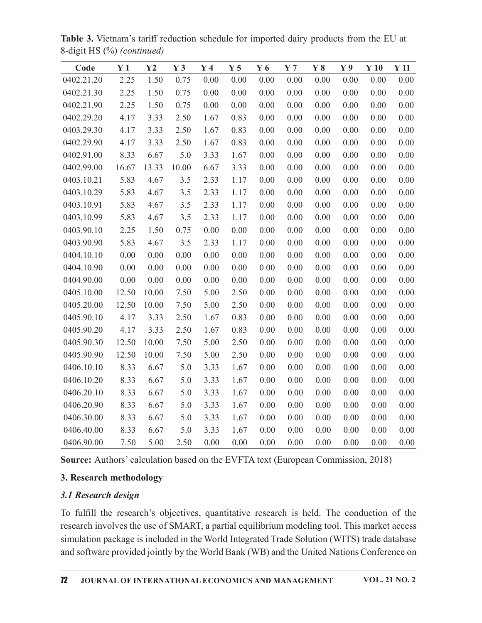| Code<br>0402.21.20 | Y <sub>1</sub><br>2.25 | Y2<br>1.50 | Y <sub>3</sub><br>0.75 | Y <sub>4</sub><br>0.00 | Y <sub>5</sub><br>0.00 | $Y_6$<br>0.00 | Y <sub>7</sub><br>0.00 | Y8<br>0.00 | Y <sub>9</sub><br>0.00 | Y10<br>0.00 | Y <sub>11</sub><br>0.00 |
|--------------------|------------------------|------------|------------------------|------------------------|------------------------|---------------|------------------------|------------|------------------------|-------------|-------------------------|
| 0402.21.30         | 2.25                   | 1.50       | 0.75                   | 0.00                   | 0.00                   | 0.00          | 0.00                   | 0.00       | 0.00                   | 0.00        | 0.00                    |
| 0402.21.90         | 2.25                   | 1.50       | 0.75                   | 0.00                   | 0.00                   | 0.00          | 0.00                   | 0.00       | 0.00                   | 0.00        | 0.00                    |
| 0402.29.20         | 4.17                   | 3.33       | 2.50                   | 1.67                   | 0.83                   | 0.00          | 0.00                   | 0.00       | 0.00                   | 0.00        | 0.00                    |
| 0403.29.30         | 4.17                   | 3.33       | 2.50                   | 1.67                   | 0.83                   | 0.00          | 0.00                   | 0.00       | 0.00                   | 0.00        | 0.00                    |
| 0402.29.90         | 4.17                   | 3.33       | 2.50                   | 1.67                   | 0.83                   | 0.00          | 0.00                   | 0.00       | 0.00                   | 0.00        | 0.00                    |
| 0402.91.00         | 8.33                   | 6.67       | 5.0                    | 3.33                   | 1.67                   | 0.00          | 0.00                   | 0.00       | 0.00                   | 0.00        | 0.00                    |
| 0402.99.00         | 16.67                  | 13.33      | 10.00                  | 6.67                   | 3.33                   | 0.00          | 0.00                   | 0.00       | 0.00                   | 0.00        | 0.00                    |
| 0403.10.21         | 5.83                   | 4.67       | 3.5                    | 2.33                   | 1.17                   | 0.00          | 0.00                   | 0.00       | 0.00                   | 0.00        | 0.00                    |
| 0403.10.29         | 5.83                   | 4.67       | 3.5                    | 2.33                   | 1.17                   | 0.00          | 0.00                   | 0.00       | 0.00                   | 0.00        | 0.00                    |
| 0403.10.91         | 5.83                   | 4.67       | 3.5                    | 2.33                   | 1.17                   | 0.00          | 0.00                   | 0.00       | 0.00                   | 0.00        | 0.00                    |
| 0403.10.99         | 5.83                   | 4.67       | 3.5                    | 2.33                   | 1.17                   | 0.00          | 0.00                   | 0.00       | 0.00                   | 0.00        | 0.00                    |
| 0403.90.10         | 2.25                   | 1.50       | 0.75                   | 0.00                   | 0.00                   | 0.00          | 0.00                   | 0.00       | 0.00                   | 0.00        | 0.00                    |
| 0403.90.90         | 5.83                   | 4.67       | 3.5                    | 2.33                   | 1.17                   | 0.00          | 0.00                   | 0.00       | 0.00                   | 0.00        | 0.00                    |
| 0404.10.10         | 0.00                   | 0.00       | 0.00                   | 0.00                   | 0.00                   | 0.00          | 0.00                   | 0.00       | 0.00                   | 0.00        | 0.00                    |
| 0404.10.90         | 0.00                   | 0.00       | 0.00                   | 0.00                   | 0.00                   | 0.00          | 0.00                   | 0.00       | 0.00                   | 0.00        | 0.00                    |
| 0404.90.00         | 0.00                   | 0.00       | 0.00                   | 0.00                   | 0.00                   | 0.00          | 0.00                   | 0.00       | 0.00                   | 0.00        | 0.00                    |
| 0405.10.00         | 12.50                  | 10.00      | 7.50                   | 5.00                   | 2.50                   | 0.00          | 0.00                   | 0.00       | 0.00                   | 0.00        | 0.00                    |
| 0405.20.00         | 12.50                  | 10.00      | 7.50                   | 5.00                   | 2.50                   | 0.00          | 0.00                   | 0.00       | 0.00                   | 0.00        | 0.00                    |
| 0405.90.10         | 4.17                   | 3.33       | 2.50                   | 1.67                   | 0.83                   | 0.00          | 0.00                   | 0.00       | 0.00                   | 0.00        | 0.00                    |
| 0405.90.20         | 4.17                   | 3.33       | 2.50                   | 1.67                   | 0.83                   | 0.00          | 0.00                   | 0.00       | 0.00                   | 0.00        | 0.00                    |
| 0405.90.30         | 12.50                  | 10.00      | 7.50                   | 5.00                   | 2.50                   | 0.00          | 0.00                   | 0.00       | 0.00                   | 0.00        | 0.00                    |
| 0405.90.90         | 12.50                  | 10.00      | 7.50                   | 5.00                   | 2.50                   | 0.00          | 0.00                   | 0.00       | 0.00                   | 0.00        | 0.00                    |
| 0406.10.10         | 8.33                   | 6.67       | 5.0                    | 3.33                   | 1.67                   | 0.00          | 0.00                   | 0.00       | 0.00                   | 0.00        | 0.00                    |
| 0406.10.20         | 8.33                   | 6.67       | 5.0                    | 3.33                   | 1.67                   | 0.00          | 0.00                   | 0.00       | 0.00                   | 0.00        | 0.00                    |
| 0406.20.10         | 8.33                   | 6.67       | 5.0                    | 3.33                   | 1.67                   | 0.00          | 0.00                   | 0.00       | 0.00                   | 0.00        | 0.00                    |
| 0406.20.90         | 8.33                   | 6.67       | 5.0                    | 3.33                   | 1.67                   | 0.00          | 0.00                   | 0.00       | 0.00                   | 0.00        | 0.00                    |
| 0406.30.00         | 8.33                   | 6.67       | 5.0                    | 3.33                   | 1.67                   | 0.00          | 0.00                   | 0.00       | 0.00                   | 0.00        | 0.00                    |
| 0406.40.00         | 8.33                   | 6.67       | 5.0                    | 3.33                   | 1.67                   | 0.00          | 0.00                   | 0.00       | 0.00                   | 0.00        | 0.00                    |
| 0406.90.00         | 7.50                   | 5.00       | 2.50                   | 0.00                   | 0.00                   | 0.00          | 0.00                   | 0.00       | 0.00                   | 0.00        | 0.00                    |

Table 3. Vietnam's tariff reduction schedule for imported dairy products from the EU at 8-digit HS (%) (continued)

# 3. Research methodology

# 3.1 Research design

To fulfill the research's objectives, quantitative research is held. The conduction of the research involves the use of SMART, a partial equilibrium modeling tool. This market access simulation package is included in the World Integrated Trade Solution (WITS) trade database and software provided jointly by the World Bank (WB) and the United Nations Conference on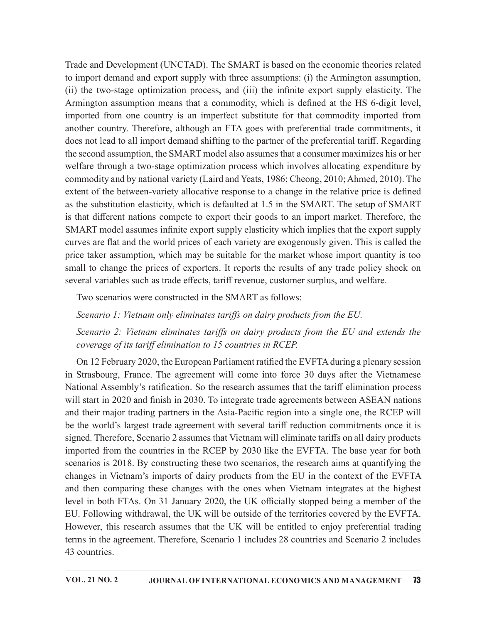Trade and Development (UNCTAD). The SMART is based on the economic theories related to import demand and export supply with three assumptions: (i) the Armington assumption, (ii) the two-stage optimization process, and (iii) the infinite export supply elasticity. The Armington assumption means that a commodity, which is defined at the HS 6-digit level, imported from one country is an imperfect substitute for that commodity imported from another country. Therefore, although an FTA goes with preferential trade commitments, it does not lead to all import demand shifting to the partner of the preferential tariff. Regarding the second assumption, the SMART model also assumes that a consumer maximizes his or her welfare through a two-stage optimization process which involves allocating expenditure by commodity and by national variety (Laird and Yeats, 1986; Cheong, 2010; Ahmed, 2010). The extent of the between-variety allocative response to a change in the relative price is defined as the substitution elasticity, which is defaulted at 1.5 in the SMART. The setup of SMART is that different nations compete to export their goods to an import market. Therefore, the SMART model assumes infinite export supply elasticity which implies that the export supply curves are flat and the world prices of each variety are exogenously given. This is called the price taker assumption, which may be suitable for the market whose import quantity is too small to change the prices of exporters. It reports the results of any trade policy shock on several variables such as trade effects, tariff revenue, customer surplus, and welfare.

Two scenarios were constructed in the SMART as follows:

Scenario 1: Vietnam only eliminates tariffs on dairy products from the EU.

Scenario 2: Vietnam eliminates tariffs on dairy products from the EU and extends the coverage of its tariff elimination to 15 countries in RCEP.

On 12 February 2020, the European Parliament ratified the EVFTA during a plenary session in Strasbourg, France. The agreement will come into force 30 days after the Vietnamese National Assembly's ratification. So the research assumes that the tariff elimination process will start in 2020 and finish in 2030. To integrate trade agreements between ASEAN nations and their major trading partners in the Asia-Pacific region into a single one, the RCEP will be the world's largest trade agreement with several tariff reduction commitments once it is signed. Therefore, Scenario 2 assumes that Vietnam will eliminate tariffs on all dairy products imported from the countries in the RCEP by 2030 like the EVFTA. The base year for both scenarios is 2018. By constructing these two scenarios, the research aims at quantifying the changes in Vietnam's imports of dairy products from the EU in the context of the EVFTA and then comparing these changes with the ones when Vietnam integrates at the highest level in both FTAs. On 31 January 2020, the UK officially stopped being a member of the EU. Following withdrawal, the UK will be outside of the territories covered by the EVFTA. However, this research assumes that the UK will be entitled to enjoy preferential trading terms in the agreement. Therefore, Scenario 1 includes 28 countries and Scenario 2 includes 43 countries.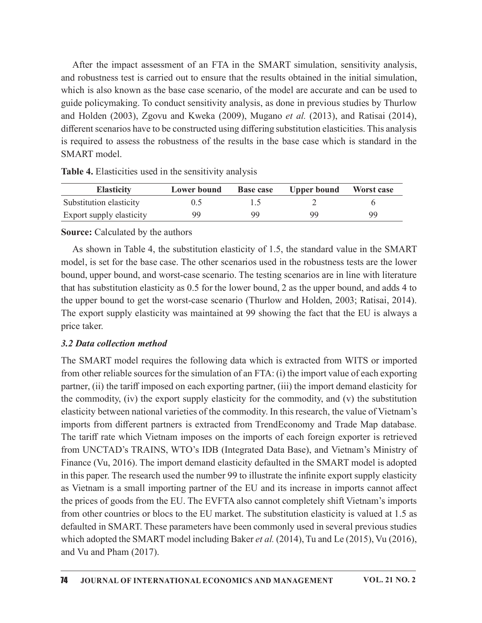After the impact assessment of an FTA in the SMART simulation, sensitivity analysis, and robustness test is carried out to ensure that the results obtained in the initial simulation, which is also known as the base case scenario, of the model are accurate and can be used to guide policymaking. To conduct sensitivity analysis, as done in previous studies by Thurlow and Holden (2003), Zgovu and Kweka (2009), Mugano et al. (2013), and Ratisai (2014), different scenarios have to be constructed using differing substitution elasticities. This analysis is required to assess the robustness of the results in the base case which is standard in the SMART model. the impact assessment of an FTA in the SMART simulation, sensitivity analysis,<br>stness test is carried out to ensure that the results obtained in the initial simulation,<br>also known as the base case scenario, of the model a After the impact assessment of an FTA in the SMART simulation, sensitivity analysis,<br>nd robustness test is carried out to ensure that the results obtained in the initial simulation,<br>substitution is also known as the base After the impact assessment of an FTA in the SMART simulation, sensitivity analysis,<br>
and robustness test is carried out to ensure that the results obtained in the initial simulation,<br>
shich is also known as the base case

| <b>Elasticity</b>        | Lower bound | <b>Base case</b> | <b>Upper bound</b> | Worst case |
|--------------------------|-------------|------------------|--------------------|------------|
| Substitution elasticity  |             |                  |                    |            |
| Export supply elasticity | 99          | 99               | QQ                 | 99         |

Table 4. Elasticities used in the sensitivity analysis

#### Source: Calculated by the authors

As shown in Table 4, the substitution elasticity of 1.5, the standard value in the SMART model, is set for the base case. The other scenarios used in the robustness tests are the lower bound, upper bound, and worst-case scenario. The testing scenarios are in line with literature that has substitution elasticity as 0.5 for the lower bound, 2 as the upper bound, and adds 4 to the upper bound to get the worst-case scenario (Thurlow and Holden, 2003; Ratisai, 2014). The export supply elasticity was maintained at 99 showing the fact that the EU is always a price taker.

#### 3.2 Data collection method

The SMART model requires the following data which is extracted from WITS or imported from other reliable sources for the simulation of an FTA: (i) the import value of each exporting partner, (ii) the tariff imposed on each exporting partner, (iii) the import demand elasticity for the commodity, (iv) the export supply elasticity for the commodity, and (v) the substitution elasticity between national varieties of the commodity. In this research, the value of Vietnam's imports from different partners is extracted from TrendEconomy and Trade Map database. The tariff rate which Vietnam imposes on the imports of each foreign exporter is retrieved from UNCTAD's TRAINS, WTO's IDB (Integrated Data Base), and Vietnam's Ministry of Finance (Vu, 2016). The import demand elasticity defaulted in the SMART model is adopted in this paper. The research used the number 99 to illustrate the infinite export supply elasticity as Vietnam is a small importing partner of the EU and its increase in imports cannot affect the prices of goods from the EU. The EVFTA also cannot completely shift Vietnam's imports from other countries or blocs to the EU market. The substitution elasticity is valued at 1.5 as defaulted in SMART. These parameters have been commonly used in several previous studies which adopted the SMART model including Baker et al. (2014), Tu and Le (2015), Vu (2016), and Vu and Pham (2017).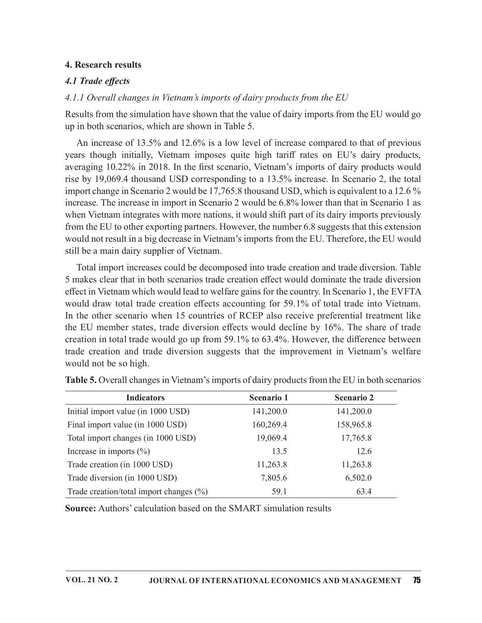### 4. Research results

# 4.1 Trade effects

# 4.1.1 Overall changes in Vietnam's imports of dairy products from the EU

Results from the simulation have shown that the value of dairy imports from the EU would go up in both scenarios, which are shown in Table 5.

An increase of 13.5% and 12.6% is a low level of increase compared to that of previous years though initially, Vietnam imposes quite high tariff rates on EU's dairy products, averaging 10.22% in 2018. In the first scenario, Vietnam's imports of dairy products would rise by 19,069.4 thousand USD corresponding to a 13.5% increase. In Scenario 2, the total import change in Scenario 2 would be 17,765.8 thousand USD, which is equivalent to a 12.6 % increase. The increase in import in Scenario 2 would be 6.8% lower than that in Scenario 1 as when Vietnam integrates with more nations, it would shift part of its dairy imports previously from the EU to other exporting partners. However, the number 6.8 suggests that this extension would not result in a big decrease in Vietnam's imports from the EU. Therefore, the EU would still be a main dairy supplier of Vietnam.

Total import increases could be decomposed into trade creation and trade diversion. Table 5 makes clear that in both scenarios trade creation e൵ect would dominate the trade diversion effect in Vietnam which would lead to welfare gains for the country. In Scenario 1, the EVFTA would draw total trade creation effects accounting for 59.1% of total trade into Vietnam. In the other scenario when 15 countries of RCEP also receive preferential treatment like the EU member states, trade diversion effects would decline by 16%. The share of trade creation in total trade would go up from  $59.1\%$  to  $63.4\%$ . However, the difference between trade creation and trade diversion suggests that the improvement in Vietnam's welfare would not be so high. External movemum is volume of the must in the strain of the matter in the strain and integrates with more nations, it would shift part of its dairy imports previously other exporting partners. However, the number 6.8 sugg where versuar megatases win more lations, it would simply the state in the state of the state of the EU to ther exporting partners. However, the number 6.8 suggests that his extension would not result in a big decrease in Final in the Counter appoint parameter of the matter of the distance of the counterparameter appoint that the entire the matter of Vietnam.<br>
Total import increases could be decomposed into trade creation and trade diversio it ill be a main dairy supplier of Victnam.<br>
Total import increases could be decomposed into trade creation and trade diversion. Table<br>
Simakes clear that in both scenarios trade creation effect would dominate the trade di Total import increases could be decomposed into trade creation and trade diversion. Table<br>
Si makes clear that in both scenarios trade creation effect would dominate the trade diversion<br>
frece tim Vietnam which would lead

| effect in Vietnam which would lead to welfare gains for the country. In Scenario 1, the EVFTA<br>would draw total trade creation effects accounting for 59.1% of total trade into Vietnam.<br>In the other scenario when 15 countries of RCEP also receive preferential treatment like<br>the EU member states, trade diversion effects would decline by 16%. The share of trade<br>creation in total trade would go up from 59.1% to 63.4%. However, the difference between<br>trade creation and trade diversion suggests that the improvement in Vietnam's welfare<br>would not be so high. |            |            |  |
|------------------------------------------------------------------------------------------------------------------------------------------------------------------------------------------------------------------------------------------------------------------------------------------------------------------------------------------------------------------------------------------------------------------------------------------------------------------------------------------------------------------------------------------------------------------------------------------------|------------|------------|--|
| Table 5. Overall changes in Vietnam's imports of dairy products from the EU in both scenarios                                                                                                                                                                                                                                                                                                                                                                                                                                                                                                  |            |            |  |
| <b>Indicators</b>                                                                                                                                                                                                                                                                                                                                                                                                                                                                                                                                                                              | Scenario 1 | Scenario 2 |  |
| Initial import value (in 1000 USD)                                                                                                                                                                                                                                                                                                                                                                                                                                                                                                                                                             | 141,200.0  | 141,200.0  |  |
| Final import value (in 1000 USD)                                                                                                                                                                                                                                                                                                                                                                                                                                                                                                                                                               | 160,269.4  | 158,965.8  |  |
| Total import changes (in 1000 USD)                                                                                                                                                                                                                                                                                                                                                                                                                                                                                                                                                             | 19,069.4   | 17,765.8   |  |
| Increase in imports $(\% )$                                                                                                                                                                                                                                                                                                                                                                                                                                                                                                                                                                    | 13.5       | 12.6       |  |
| Trade creation (in 1000 USD)                                                                                                                                                                                                                                                                                                                                                                                                                                                                                                                                                                   | 11,263.8   | 11,263.8   |  |
| Trade diversion (in 1000 USD)                                                                                                                                                                                                                                                                                                                                                                                                                                                                                                                                                                  | 7,805.6    | 6,502.0    |  |
| Trade creation/total import changes $(\%)$                                                                                                                                                                                                                                                                                                                                                                                                                                                                                                                                                     | 59.1       | 63.4       |  |
| <b>Source:</b> Authors' calculation based on the SMART simulation results                                                                                                                                                                                                                                                                                                                                                                                                                                                                                                                      |            |            |  |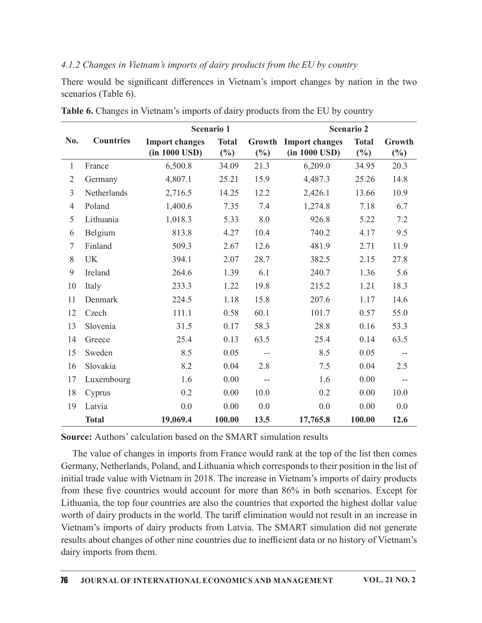## 4.1.2 Changes in Vietnam's imports of dairy products from the EU by country

| <b>Countries</b><br>N <sub>0</sub> . |                                                  |                                   |                                               | Table 6. Changes in Vietnam's imports of dairy products from the EU by country |                                   |                  |
|--------------------------------------|--------------------------------------------------|-----------------------------------|-----------------------------------------------|--------------------------------------------------------------------------------|-----------------------------------|------------------|
|                                      | <b>Import changes</b><br>$(in 1000 \text{ USD})$ | Scenario 1<br><b>Total</b><br>(%) | (%)                                           | <b>Growth Import changes</b><br>$(in 1000 \text{ USD})$                        | Scenario 2<br><b>Total</b><br>(%) | Growth<br>$(\%)$ |
| France                               | 6,500.8                                          | 34.09                             | 21.3                                          | 6,209.0                                                                        | 34.95                             | 20.3             |
| Germany<br>2                         | 4,807.1                                          | 25.21                             | 15.9                                          | 4,487.3                                                                        | 25.26                             | 14.8             |
| Netherlands<br>3                     | 2,716.5                                          | 14.25                             | 12.2                                          | 2,426.1                                                                        | 13.66                             | 10.9             |
| Poland<br>4                          | 1,400.6                                          | 7.35                              | 7.4                                           | 1,274.8                                                                        | 7.18                              | 6.7              |
| Lithuania<br>5                       | 1,018.3                                          | 5.33                              | 8.0                                           | 926.8                                                                          | 5.22                              | 7.2              |
| Belgium<br>6                         | 813.8                                            | 4.27                              | 10.4                                          | 740.2                                                                          | 4.17                              | 9.5              |
| Finland                              | 509.3                                            | 2.67                              | 12.6                                          | 481.9                                                                          | 2.71                              | 11.9             |
| <b>UK</b><br>8                       | 394.1                                            | 2.07                              | 28.7                                          | 382.5                                                                          | 2.15                              | 27.8             |
| 9<br>Ireland                         | 264.6                                            | 1.39                              | 6.1                                           | 240.7                                                                          | 1.36                              | 5.6              |
| 10<br>Italy                          | 233.3                                            | 1.22                              | 19.8                                          | 215.2                                                                          | 1.21                              | 18.3             |
| Denmark<br>11                        | 224.5                                            | 1.18                              | 15.8                                          | 207.6                                                                          | 1.17                              | 14.6             |
| Czech<br>12                          | 111.1                                            | 0.58                              | 60.1                                          | 101.7                                                                          | 0.57                              | 55.0             |
| Slovenia<br>13                       | 31.5                                             | 0.17                              | 58.3                                          | 28.8                                                                           | 0.16                              | 53.3             |
| Greece<br>14                         | 25.4                                             | 0.13                              | 63.5                                          | 25.4                                                                           | 0.14                              | 63.5             |
| Sweden<br>15                         | 8.5                                              | 0.05                              | $\mathord{\hspace{1pt}\text{--}\hspace{1pt}}$ | 8.5                                                                            | 0.05                              |                  |
| Slovakia<br>16                       |                                                  | 0.04                              | 2.8                                           | 7.5                                                                            | 0.04                              | $- -$<br>2.5     |
| Luxembourg                           | 8.2<br>1.6                                       | 0.00                              |                                               | 1.6                                                                            | 0.00                              |                  |
| 17                                   |                                                  |                                   | 10.0                                          | 0.2                                                                            | 0.00                              | $-\!$            |
| Cyprus<br>18                         | 0.2                                              | 0.00                              |                                               |                                                                                |                                   | 10.0             |
| Latvia<br>19<br><b>Total</b>         | 0.0<br>19,069.4                                  | 0.00<br>100.00                    | 0.0<br>13.5                                   | 0.0<br>17,765.8                                                                | 0.00<br>100.00                    | 0.0<br>12.6      |

Table 6. Changes in Vietnam's imports of dairy products from the EU by country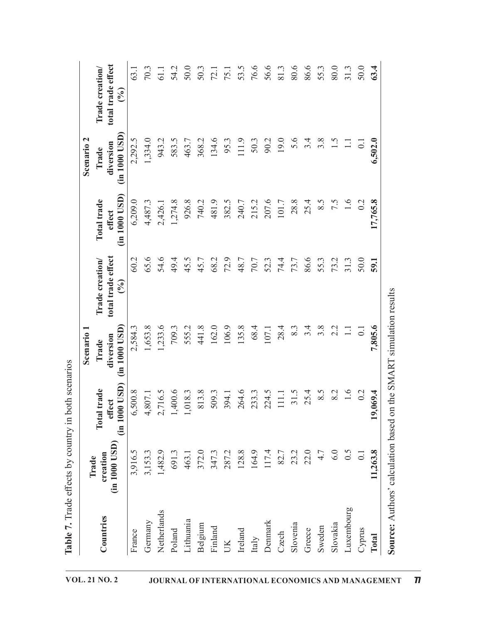|             | Trade                     |                                        | Scenario 1                              |                                                          |                                              | Scenario <sub>2</sub>                   |                                                          |
|-------------|---------------------------|----------------------------------------|-----------------------------------------|----------------------------------------------------------|----------------------------------------------|-----------------------------------------|----------------------------------------------------------|
| Countries   | (in 1000 USD)<br>creation | (in 1000 USD)<br>Total trade<br>effect | $(in 1000$ $USD)$<br>diversion<br>Trade | total trade effect<br>Trade creation/<br>$(\frac{6}{6})$ | 1000 USD)<br>Total trade<br>effect<br>$\dim$ | $(in 1000$ $USD)$<br>diversion<br>Trade | total trade effect<br>Trade creation/<br>$(\frac{6}{6})$ |
| France      | 3,916.5                   | 6,500.8                                | 2,584.3                                 | 60.2                                                     | 6,209.0                                      | 2,292.5                                 | 63.1                                                     |
| Germany     | 3,153.3                   | 4,807.1                                | 1,653.8                                 | 65.6                                                     | 4,487.3                                      | 1,334.0                                 | 70.3                                                     |
| Netherlands | 1,482.9                   | 2,716.5                                | 1,233.6                                 | 54.6                                                     | 2,426.1                                      | 943.2                                   | 61.1                                                     |
| Poland      | 691.3                     | 1,400.6                                | 709.3                                   | 49.4                                                     | 1,274.8                                      | 583.5                                   | 54.2                                                     |
| Lithuania   | 463.1                     | 1,018.3                                | 555.2                                   | 45.5                                                     | 926.8                                        | 463.7                                   | 50.0                                                     |
| Belgium     | 372.0                     | 813.8                                  | 441.8                                   | 45.7                                                     | 740.2                                        | 368.2                                   | 50.3                                                     |
| Finland     | 347.3                     | 509.3                                  | 162.0                                   | 68.2                                                     | 481.9                                        | 134.6                                   | 72.1                                                     |
| UK          | 287.2                     | 394.1                                  | 106.9                                   | 72.9                                                     | 382.5                                        | 95.3                                    | 75.1                                                     |
| Ireland     | 128.8                     | 264.6                                  | 135.8                                   | 48.7                                                     | 240.7                                        | 111.9                                   | 53.5                                                     |
| Italy       | 164.9                     | 233.3                                  | 68.4                                    | 70.7                                                     | 215.2                                        | 50.3                                    | 76.6                                                     |
| Denmark     | 117.4                     | 224.5                                  | $107.1$                                 | 52.3                                                     | 207.6                                        | 90.2                                    | 56.6                                                     |
| Czech       | 82.7                      | $111.1\,$                              | 28.4                                    | 74.4                                                     | $101.7\,$                                    | 19.0                                    | 81.3                                                     |
| Slovenia    | 23.2                      | 31.5                                   | 8.3                                     | 73.7                                                     | 28.8                                         | 5.6                                     | 80.6                                                     |
| Greece      | 22.0                      | 25.4                                   | 3.4                                     | 86.6                                                     | 25.4                                         | 3.4                                     | 86.6                                                     |
| Sweden      | 4.7                       | 8.5                                    | 3.8                                     | 55.3                                                     | 8.5                                          | 3.8                                     | 55.3                                                     |
| Slovakia    | 6.0                       | 8.2                                    | 2.2                                     | 73.2                                                     | 7.5                                          | 1.5                                     | 80.0                                                     |
| Luxembourg  | 6.5                       | $1.6\,$                                | $\Box$                                  | 31.3                                                     | $1.6\,$                                      | $\Xi$                                   | 31.3                                                     |
| Cyprus      | $\overline{0.1}$          | 0.2                                    | $\overline{0.1}$                        | 50.0                                                     | 0.2                                          | $\overline{0}$ .                        | 50.0                                                     |
| Total       | 11,263.8                  | 19,069.4                               | 7,805.6                                 | 59.1                                                     | 17,765.8                                     | 6,502.0                                 | 63.4                                                     |

Table 7. Trade effects by country in both scenarios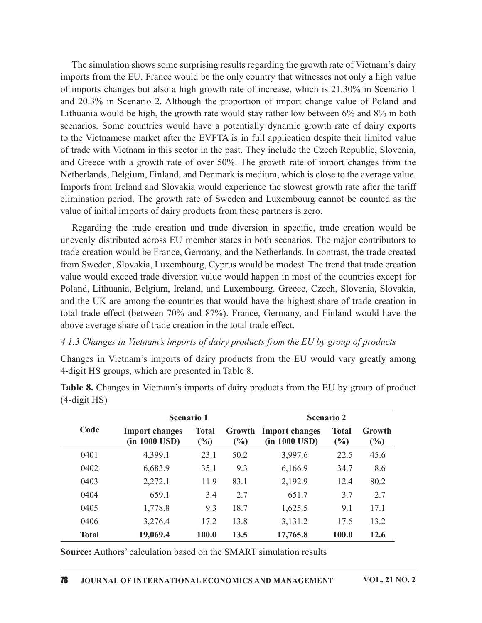The simulation shows some surprising results regarding the growth rate of Vietnam's dairy imports from the EU. France would be the only country that witnesses not only a high value of imports changes but also a high growth rate of increase, which is 21.30% in Scenario 1 and 20.3% in Scenario 2. Although the proportion of import change value of Poland and Lithuania would be high, the growth rate would stay rather low between 6% and 8% in both scenarios. Some countries would have a potentially dynamic growth rate of dairy exports to the Vietnamese market after the EVFTA is in full application despite their limited value of trade with Vietnam in this sector in the past. They include the Czech Republic, Slovenia, and Greece with a growth rate of over 50%. The growth rate of import changes from the Netherlands, Belgium, Finland, and Denmark is medium, which is close to the average value. Imports from Ireland and Slovakia would experience the slowest growth rate after the tariff elimination period. The growth rate of Sweden and Luxembourg cannot be counted as the value of initial imports of dairy products from these partners is zero.

Regarding the trade creation and trade diversion in specific, trade creation would be unevenly distributed across EU member states in both scenarios. The major contributors to trade creation would be France, Germany, and the Netherlands. In contrast, the trade created from Sweden, Slovakia, Luxembourg, Cyprus would be modest. The trend that trade creation value would exceed trade diversion value would happen in most of the countries except for Poland, Lithuania, Belgium, Ireland, and Luxembourg. Greece, Czech, Slovenia, Slovakia, and the UK are among the countries that would have the highest share of trade creation in total trade effect (between 70% and 87%). France, Germany, and Finland would have the above average share of trade creation in the total trade effect. EU member states in both scenario. The major contributors to<br>EU member states in both scenarios. The major contributors to<br>cce, Germany, and the Netherlands. In contrast, the trade created<br>cembourg, Cyprus would be modest

### 4.1.3 Changes in Vietnam's imports of dairy products from the EU by group of products

|                       | from Sweden, Slovakia, Luxembourg, Cyprus would be modest. The trend that trade creation<br>value would exceed trade diversion value would happen in most of the countries except for<br>Poland, Lithuania, Belgium, Ireland, and Luxembourg. Greece, Czech, Slovenia, Slovakia,<br>and the UK are among the countries that would have the highest share of trade creation in<br>total trade effect (between 70% and 87%). France, Germany, and Finland would have the<br>above average share of trade creation in the total trade effect.<br>4.1.3 Changes in Vietnam's imports of dairy products from the EU by group of products |                     |        |                                                         |                               |                      |  |
|-----------------------|-------------------------------------------------------------------------------------------------------------------------------------------------------------------------------------------------------------------------------------------------------------------------------------------------------------------------------------------------------------------------------------------------------------------------------------------------------------------------------------------------------------------------------------------------------------------------------------------------------------------------------------|---------------------|--------|---------------------------------------------------------|-------------------------------|----------------------|--|
|                       | Changes in Vietnam's imports of dairy products from the EU would vary greatly among<br>4-digit HS groups, which are presented in Table 8.                                                                                                                                                                                                                                                                                                                                                                                                                                                                                           |                     |        |                                                         |                               |                      |  |
| $(4\text{-digit HS})$ | <b>Table 8.</b> Changes in Vietnam's imports of dairy products from the EU by group of product                                                                                                                                                                                                                                                                                                                                                                                                                                                                                                                                      |                     |        |                                                         |                               |                      |  |
|                       | Scenario 1                                                                                                                                                                                                                                                                                                                                                                                                                                                                                                                                                                                                                          |                     |        |                                                         | <b>Scenario 2</b>             |                      |  |
| Code                  | <b>Import changes</b><br>$(in 1000 \text{ USD})$                                                                                                                                                                                                                                                                                                                                                                                                                                                                                                                                                                                    | <b>Total</b><br>(%) | $(\%)$ | <b>Growth Import changes</b><br>$(in 1000 \text{ USD})$ | <b>Total</b><br>$\frac{0}{0}$ | Growth<br>$(\%)$     |  |
| 0401                  | 4,399.1                                                                                                                                                                                                                                                                                                                                                                                                                                                                                                                                                                                                                             | 23.1                | 50.2   | 3,997.6                                                 | 22.5                          | 45.6                 |  |
| 0402                  | 6,683.9                                                                                                                                                                                                                                                                                                                                                                                                                                                                                                                                                                                                                             | 35.1                | 9.3    | 6,166.9                                                 | 34.7                          | 8.6                  |  |
| 0403                  | 2,272.1                                                                                                                                                                                                                                                                                                                                                                                                                                                                                                                                                                                                                             | 11.9                | 83.1   | 2,192.9                                                 | 12.4                          | 80.2                 |  |
| 0404                  | 659.1                                                                                                                                                                                                                                                                                                                                                                                                                                                                                                                                                                                                                               | 3.4                 | 2.7    | 651.7                                                   | 3.7                           | 2.7                  |  |
| 0405                  | 1,778.8                                                                                                                                                                                                                                                                                                                                                                                                                                                                                                                                                                                                                             | 9.3                 | 18.7   | 1,625.5                                                 | 9.1                           | 17.1                 |  |
| 0406                  | 3,276.4                                                                                                                                                                                                                                                                                                                                                                                                                                                                                                                                                                                                                             | 17.2                | 13.8   | 3,131.2                                                 | 17.6                          | 13.2                 |  |
| <b>Total</b>          | 19,069.4                                                                                                                                                                                                                                                                                                                                                                                                                                                                                                                                                                                                                            | 100.0               | 13.5   | 17,765.8                                                | 100.0                         | 12.6                 |  |
|                       | Source: Authors' calculation based on the SMART simulation results                                                                                                                                                                                                                                                                                                                                                                                                                                                                                                                                                                  |                     |        |                                                         |                               |                      |  |
| 78                    | JOURNAL OF INTERNATIONAL ECONOMICS AND MANAGEMENT                                                                                                                                                                                                                                                                                                                                                                                                                                                                                                                                                                                   |                     |        |                                                         |                               | <b>VOL. 21 NO. 2</b> |  |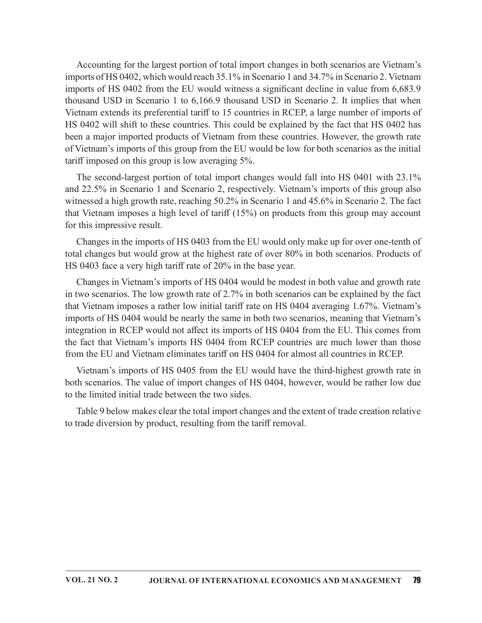Accounting for the largest portion of total import changes in both scenarios are Vietnam's imports of HS 0402, which would reach 35.1% in Scenario 1 and 34.7% in Scenario 2. Vietnam imports of HS 0402 from the EU would witness a significant decline in value from 6,683.9 thousand USD in Scenario 1 to 6,166.9 thousand USD in Scenario 2. It implies that when Vietnam extends its preferential tariff to 15 countries in RCEP, a large number of imports of HS 0402 will shift to these countries. This could be explained by the fact that HS 0402 has been a major imported products of Vietnam from these countries. However, the growth rate of Vietnam's imports of this group from the EU would be low for both scenarios as the initial tariff imposed on this group is low averaging 5%.

The second-largest portion of total import changes would fall into HS 0401 with 23.1% and 22.5% in Scenario 1 and Scenario 2, respectively. Vietnam's imports of this group also witnessed a high growth rate, reaching 50.2% in Scenario 1 and 45.6% in Scenario 2. The fact that Vietnam imposes a high level of tariff  $(15%)$  on products from this group may account for this impressive result.

Changes in the imports of HS 0403 from the EU would only make up for over one-tenth of total changes but would grow at the highest rate of over 80% in both scenarios. Products of HS 0403 face a very high tariff rate of 20% in the base year.

Changes in Vietnam's imports of HS 0404 would be modest in both value and growth rate in two scenarios. The low growth rate of 2.7% in both scenarios can be explained by the fact that Vietnam imposes a rather low initial tariff rate on HS 0404 averaging 1.67%. Vietnam's imports of HS 0404 would be nearly the same in both two scenarios, meaning that Vietnam's integration in RCEP would not affect its imports of HS 0404 from the EU. This comes from the fact that Vietnam's imports HS 0404 from RCEP countries are much lower than those from the EU and Vietnam eliminates tariff on HS 0404 for almost all countries in RCEP.

Vietnam's imports of HS 0405 from the EU would have the third-highest growth rate in both scenarios. The value of import changes of HS 0404, however, would be rather low due to the limited initial trade between the two sides.

Table 9 below makes clear the total import changes and the extent of trade creation relative to trade diversion by product, resulting from the tariff removal.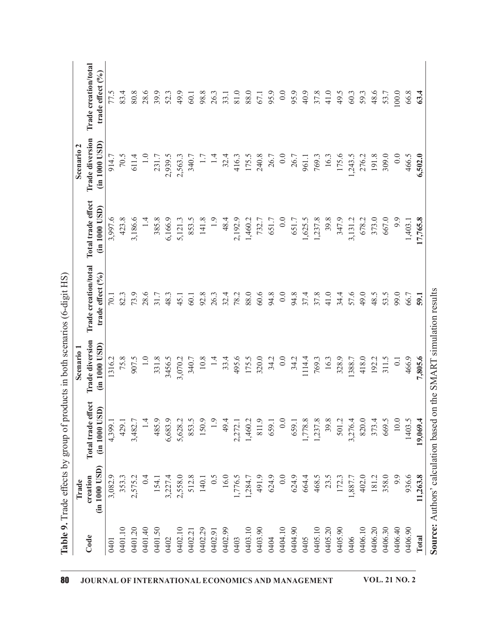|         | Trade                     | Table 9. Trade effects by group of products in both scenarios (6-digit HS) | Scenario <sub>1</sub>            |                                          |                                         | Scenario <sub>2</sub>            |                                          |
|---------|---------------------------|----------------------------------------------------------------------------|----------------------------------|------------------------------------------|-----------------------------------------|----------------------------------|------------------------------------------|
| Code    | (in 1000 USD)<br>creation | Total trade effect<br>(in 1000 USD)                                        | Trade diversion<br>(in 1000 USD) | Trade creation/total<br>trade effect (%) | otal trade effect<br>(in 1000 USD)<br>▀ | Trade diversion<br>(in 1000 USD) | Trade creation/total<br>trade effect (%) |
| 0401    | 3,082.9                   | 4,399.1                                                                    | 1316.2                           | 70.1                                     | 3,997.6                                 | 914.7                            | 77.5                                     |
| 0401.10 | 353.3                     | 429.1                                                                      | 75.8                             | 82.3                                     | 423.8                                   | 70.5                             | 83.4                                     |
| 0401.20 | 2,575.2                   | 3,482.7                                                                    | 907.5                            | 73.9                                     | 3,186.6                                 | 611.4                            | 80.8                                     |
| 0401.40 | 0.4                       | 1.4                                                                        | 1.0                              | 28.6                                     | 1.4                                     | $1.0\,$                          | 28.6                                     |
| 0401.50 | 154.1                     | 485.9                                                                      | 331.8                            | 31.7                                     | 385.8                                   | 231.7                            | 39.9                                     |
| 0402    | 3,227.4                   | 6,683.9                                                                    | 3456.5                           | 48.3                                     | 6,166.9                                 | 2,939.5                          | 52.3                                     |
| 0402.10 | 2,558.0                   | 5,628.2                                                                    | 3,070.2                          | 45.1                                     | 5,121.3                                 | 2,563.3                          | 49.9                                     |
| 0402.21 | 512.8                     | 853.5                                                                      | 340.7                            | 60.1                                     | 853.5                                   | 340.7                            | 60.1                                     |
| 0402.29 | 140.1                     | 150.9                                                                      | $10.8\,$                         | 92.8                                     | 141.8                                   | 1.7                              | 98.8                                     |
| 0402.91 | 0.5                       | 1.9                                                                        | 1.4                              | 26.3                                     | 1.9                                     | 1.4                              | 26.3                                     |
| 0402.99 | 16.0                      | 49.4                                                                       | 33.4                             | 32.4                                     | 48.4                                    | 32.4                             | 33.1                                     |
| 0403    | 1,776.5                   | 2,272.1                                                                    | 495.6                            | 78.2                                     | 2,192.9                                 | 416.3                            | 81.0                                     |
| 0403.10 | 1,284.7                   | 1,460.2                                                                    | 175.5                            | 88.0                                     | 1,460.2                                 | 175.5                            | 88.0                                     |
| 0403.90 | 491.9                     | 811.9                                                                      | 320.0                            | 60.6                                     | 732.7                                   | 240.8                            | 67.1                                     |
| 0404    | 624.9                     | 659.1                                                                      | 34.2                             | 94.8                                     | 651.7                                   | 26.7                             | 95.9                                     |
| 0404.10 | 0.0                       | 0.0                                                                        | $0.0\,$                          | 0.0                                      | 0.0                                     | $0.0\,$                          | 0.0                                      |
| 0404.90 | 624.9                     | 659.1                                                                      | 34.2                             | 94.8                                     | 651.7                                   | 26.7                             | 95.9                                     |
| 0405    | 664.4                     | 1,778.8                                                                    | 1114.4                           | 37.4                                     | 1,625.5                                 | 961.1                            | 40.9                                     |
| 0405.10 | 468.5                     | 1,237.8                                                                    | 769.3                            | 37.8                                     | 1,237.8                                 | 769.3                            | 37.8                                     |
| 0405.20 | 23.5                      | 39.8                                                                       | 16.3                             | 41.0                                     | 39.8                                    | 16.3                             | 41.0                                     |
| 0405.90 | 172.3                     | 501.2                                                                      | 328.9                            | 34.4                                     | 347.9                                   | 175.6                            | 49.5                                     |
| 0406    | 1,887.7                   | 3,276.4                                                                    | 1388.7                           | 57.6                                     | 3,131.2                                 | 1,243.5                          | 60.3                                     |
| 0406.10 | 402.0                     | 820.0                                                                      | 418.0                            | 49.0                                     | 678.2                                   | 276.2                            | 59.3                                     |
| 0406.20 | 181.2                     | 373.4                                                                      | 192.2                            | 48.5                                     | 373.0                                   | 191.8                            | 48.6                                     |
| 0406.30 | 358.0                     | 669.5                                                                      | 311.5                            | 53.5                                     | 667.0                                   | 309.0                            | 53.7                                     |
| 0406.40 | 6.6                       | 10.0                                                                       | $0.1\,$                          | 99.0                                     | 9.9                                     | 0.0                              | 100.0                                    |
| 0406.90 | 936.6                     | 1403.5                                                                     | 466.9                            | 66.7                                     | 1,403.1                                 | 466.5                            | 66.8                                     |
| Total   | 11,263.8                  | 19,069.4                                                                   | 7,805.6                          | 59.1                                     | 17,765.8                                | 6,502.0                          | 63.4                                     |

Table 0 Trade effects by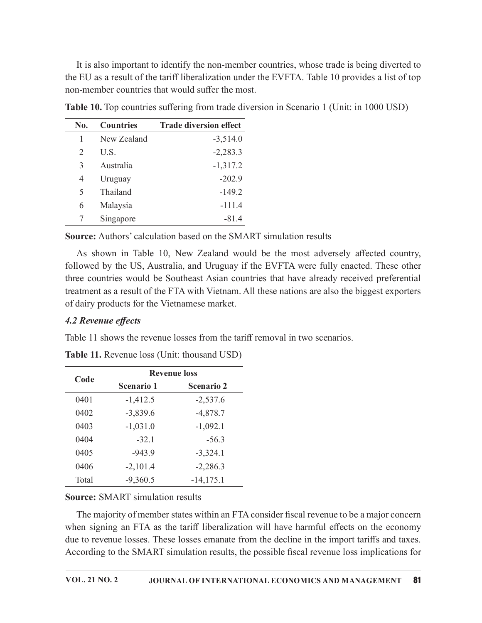|                |                  | It is also important to identify the non-member countries, whose trade is being diverted to      |  |
|----------------|------------------|--------------------------------------------------------------------------------------------------|--|
|                |                  | the EU as a result of the tariff liberalization under the EVFTA. Table 10 provides a list of top |  |
|                |                  |                                                                                                  |  |
|                |                  | non-member countries that would suffer the most.                                                 |  |
|                |                  | Table 10. Top countries suffering from trade diversion in Scenario 1 (Unit: in 1000 USD)         |  |
| No.            | <b>Countries</b> | <b>Trade diversion effect</b>                                                                    |  |
| 1              | New Zealand      | $-3,514.0$                                                                                       |  |
| $\overline{2}$ | U.S.             | $-2,283.3$                                                                                       |  |
| 3              | Australia        | $-1,317.2$                                                                                       |  |
| $\overline{4}$ | Uruguay          | $-202.9$                                                                                         |  |
| 5              | Thailand         | $-149.2$                                                                                         |  |
| 6              | Malaysia         | $-111.4$                                                                                         |  |

As shown in Table 10, New Zealand would be the most adversely affected country, followed by the US, Australia, and Uruguay if the EVFTA were fully enacted. These other three countries would be Southeast Asian countries that have already received preferential treatment as a result of the FTA with Vietnam. All these nations are also the biggest exporters of dairy products for the Vietnamese market. sia<br>
Interior and Table 10, New Zealand wold be the most adversely affected country,<br>
in Table 10, New Zealand would be the most adversely affected country,<br>
in Table 10, New Zealand would be the most adversely affected co <sup>6</sup> Malaysia  $-111.4$ <br>
7 Singapore  $-81.4$ <br> **17.6**<br> **17.6**<br> **18.12.0**<br> **18.12.0**<br> **18.21.0**<br> **18.21.0**<br> **18.21.0**<br> **18.22.12.12.12.12.12.12.12.13.13.13.13.13.13.13.13.13.14.14.14.15.14.12.15.14.12.15.14.12.5<br>
<b>19.10.12.14** The sum of the SMART simulation results<br>
As shown in Table 10, New Zealand would be the most adversely affected country,<br>
lowed by the US, Australia, and Uruguay if the EVFTA were fully enacted. These other<br>
lowed by the urce: Authors' calculation based on the SMART simulation results<br>
As shown in Table 10, New Zealand would be the most adversely affected country,<br>
lowed by the US, Australia, and Uruguay if the EVFTA were fully enacted. Th As shown in Table 10, New Zealand would be the most adversely affected country,<br>lowed by the US, Australia, and Uruguay if the EVFTA were fully enacted. These other<br>e countries would be Southeast Asian countries that have

# 4.2 Revenue effects

|                     |                                              |                                                    | followed by the US, Australia, and Uruguay if the EVFTA were fully enacted. These other<br>three countries would be Southeast Asian countries that have already received preferential<br>treatment as a result of the FTA with Vietnam. All these nations are also the biggest exporters |
|---------------------|----------------------------------------------|----------------------------------------------------|------------------------------------------------------------------------------------------------------------------------------------------------------------------------------------------------------------------------------------------------------------------------------------------|
| 4.2 Revenue effects | of dairy products for the Vietnamese market. |                                                    |                                                                                                                                                                                                                                                                                          |
|                     |                                              |                                                    | Table 11 shows the revenue losses from the tariff removal in two scenarios.                                                                                                                                                                                                              |
|                     |                                              | <b>Table 11.</b> Revenue loss (Unit: thousand USD) |                                                                                                                                                                                                                                                                                          |
|                     |                                              | <b>Revenue loss</b>                                |                                                                                                                                                                                                                                                                                          |
| Code                | Scenario 1                                   | Scenario 2                                         |                                                                                                                                                                                                                                                                                          |
| 0401                | $-1,412.5$                                   | $-2,537.6$                                         |                                                                                                                                                                                                                                                                                          |
| 0402                | $-3,839.6$                                   | $-4,878.7$                                         |                                                                                                                                                                                                                                                                                          |
| 0403                | $-1,031.0$                                   | $-1,092.1$                                         |                                                                                                                                                                                                                                                                                          |
| 0404                | $-32.1$                                      | $-56.3$                                            |                                                                                                                                                                                                                                                                                          |
| 0405                | $-943.9$                                     | $-3,324.1$                                         |                                                                                                                                                                                                                                                                                          |
| 0406                | $-2,101.4$                                   | $-2,286.3$                                         |                                                                                                                                                                                                                                                                                          |
| Total               | $-9,360.5$                                   | $-14,175.1$                                        |                                                                                                                                                                                                                                                                                          |
|                     | <b>Source: SMART simulation results</b>      |                                                    |                                                                                                                                                                                                                                                                                          |
|                     |                                              |                                                    | The majority of member states within an FTA consider fiscal revenue to be a major concern<br>when signing an FTA as the tariff liberalization will have harmful effects on the economy<br>due to revenue losses. These losses emanate from the decline in the import tariffs and taxes   |

The majority of member states within an FTA consider fiscal revenue to be a major concern when signing an FTA as the tariff liberalization will have harmful effects on the economy due to revenue losses. These losses emanate from the decline in the import tariffs and taxes. According to the SMART simulation results, the possible fiscal revenue loss implications for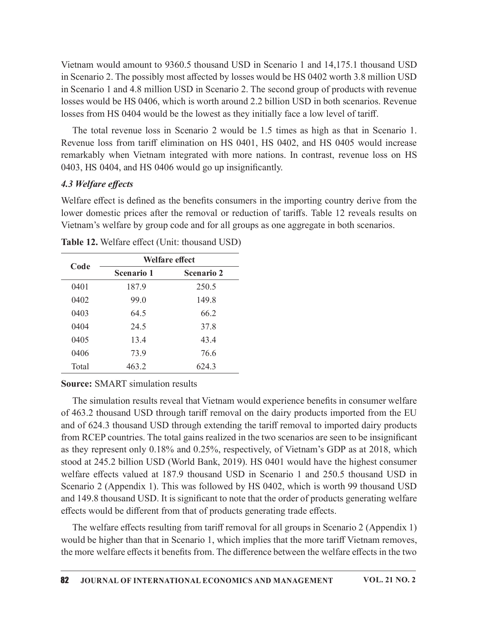Vietnam would amount to 9360.5 thousand USD in Scenario 1 and 14,175.1 thousand USD in Scenario 2. The possibly most affected by losses would be HS 0402 worth 3.8 million USD in Scenario 1 and 4.8 million USD in Scenario 2. The second group of products with revenue losses would be HS 0406, which is worth around 2.2 billion USD in both scenarios. Revenue losses from HS 0404 would be the lowest as they initially face a low level of tariff.

The total revenue loss in Scenario 2 would be 1.5 times as high as that in Scenario 1. Revenue loss from tariff elimination on HS 0401, HS 0402, and HS 0405 would increase remarkably when Vietnam integrated with more nations. In contrast, revenue loss on HS 0403, HS 0404, and HS 0406 would go up insignificantly. The promotion USD in Scenario 2. The second group of products with revenue on the small d.8 million USD in Scenario 2. The second group of products with revenue be HS 0406, which is worth around 2.2 billion USD in both sce because with the HS 0406 minds to the second group of the nearest one of the second set of the second set of the lowest as they initially face a low level of tariff.<br>The total revenue loss in Scenario 2 would be 1.5 times

### 4.3 Welfare effects

|                     |                                         |                                                         | losses from HS 0404 would be the lowest as they initially face a low level of tariff.                                                                                                                                                                                                  |
|---------------------|-----------------------------------------|---------------------------------------------------------|----------------------------------------------------------------------------------------------------------------------------------------------------------------------------------------------------------------------------------------------------------------------------------------|
|                     |                                         | 0403, HS 0404, and HS 0406 would go up insignificantly. | The total revenue loss in Scenario 2 would be 1.5 times as high as that in Scenario 1.<br>Revenue loss from tariff elimination on HS 0401, HS 0402, and HS 0405 would increase<br>remarkably when Vietnam integrated with more nations. In contrast, revenue loss on HS                |
| 4.3 Welfare effects |                                         |                                                         |                                                                                                                                                                                                                                                                                        |
|                     |                                         | Table 12. Welfare effect (Unit: thousand USD)           | Welfare effect is defined as the benefits consumers in the importing country derive from the<br>lower domestic prices after the removal or reduction of tariffs. Table 12 reveals results on<br>Vietnam's welfare by group code and for all groups as one aggregate in both scenarios. |
|                     |                                         | Welfare effect                                          |                                                                                                                                                                                                                                                                                        |
| Code                | Scenario 1                              | <b>Scenario 2</b>                                       |                                                                                                                                                                                                                                                                                        |
| 0401                | 187.9                                   | 250.5                                                   |                                                                                                                                                                                                                                                                                        |
| 0402                | 99.0                                    | 149.8                                                   |                                                                                                                                                                                                                                                                                        |
| 0403                | 64.5                                    | 66.2                                                    |                                                                                                                                                                                                                                                                                        |
| 0404                | 24.5                                    | 37.8                                                    |                                                                                                                                                                                                                                                                                        |
| 0405                | 13.4                                    | 43.4                                                    |                                                                                                                                                                                                                                                                                        |
| 0406                | 73.9                                    | 76.6                                                    |                                                                                                                                                                                                                                                                                        |
| Total               | 463.2                                   | 624.3                                                   |                                                                                                                                                                                                                                                                                        |
|                     | <b>Source: SMART simulation results</b> |                                                         |                                                                                                                                                                                                                                                                                        |
|                     |                                         |                                                         | The simulation results reveal that Vietnam would experience benefits in consumer welfare<br>of 463.2 thousand USD through tariff removal on the dairy products imported from the EU<br>and of 624.3 thousand USD through extending the tariff removal to imported dairy products       |

### Source: SMART simulation results

The simulation results reveal that Vietnam would experience benefits in consumer welfare of 463.2 thousand USD through tariff removal on the dairy products imported from the EU and of 624.3 thousand USD through extending the tariff removal to imported dairy products from RCEP countries. The total gains realized in the two scenarios are seen to be insignificant as they represent only 0.18% and 0.25%, respectively, of Vietnam's GDP as at 2018, which stood at 245.2 billion USD (World Bank, 2019). HS 0401 would have the highest consumer welfare effects valued at 187.9 thousand USD in Scenario 1 and 250.5 thousand USD in Scenario 2 (Appendix 1). This was followed by HS 0402, which is worth 99 thousand USD and 149.8 thousand USD. It is significant to note that the order of products generating welfare effects would be different from that of products generating trade effects.

The welfare effects resulting from tariff removal for all groups in Scenario 2 (Appendix 1) would be higher than that in Scenario 1, which implies that the more tariff Vietnam removes, the more welfare effects it benefits from. The difference between the welfare effects in the two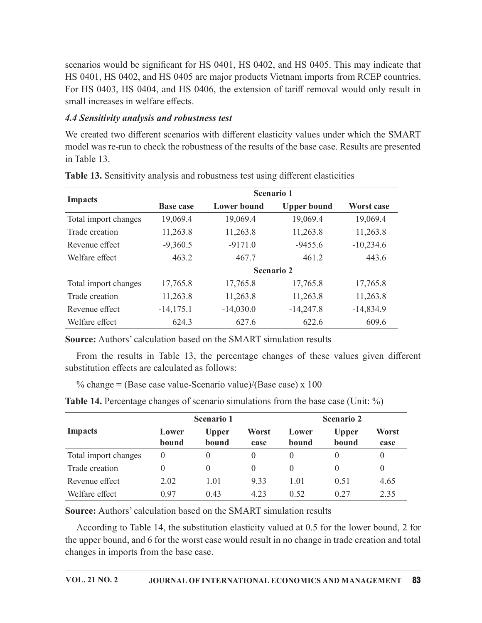### 4.4 Sensitivity analysis and robustness test

| scenarios would be significant for HS 0401, HS 0402, and HS 0405. This may indicate that<br>HS 0401, HS 0402, and HS 0405 are major products Vietnam imports from RCEP countries.<br>For HS 0403, HS 0404, and HS 0406, the extension of tariff removal would only result in<br>small increases in welfare effects. |                  |                       |                    |                    |                       |                  |  |
|---------------------------------------------------------------------------------------------------------------------------------------------------------------------------------------------------------------------------------------------------------------------------------------------------------------------|------------------|-----------------------|--------------------|--------------------|-----------------------|------------------|--|
| 4.4 Sensitivity analysis and robustness test                                                                                                                                                                                                                                                                        |                  |                       |                    |                    |                       |                  |  |
| We created two different scenarios with different elasticity values under which the SMART<br>model was re-run to check the robustness of the results of the base case. Results are presented<br>in Table 13.                                                                                                        |                  |                       |                    |                    |                       |                  |  |
| Table 13. Sensitivity analysis and robustness test using different elasticities                                                                                                                                                                                                                                     |                  |                       |                    |                    |                       |                  |  |
| Scenario 1                                                                                                                                                                                                                                                                                                          |                  |                       |                    |                    |                       |                  |  |
| <b>Impacts</b>                                                                                                                                                                                                                                                                                                      | <b>Base case</b> |                       | <b>Lower</b> bound | <b>Upper bound</b> |                       | Worst case       |  |
| Total import changes                                                                                                                                                                                                                                                                                                | 19,069.4         |                       | 19,069.4           | 19,069.4           |                       | 19,069.4         |  |
| Trade creation                                                                                                                                                                                                                                                                                                      | 11,263.8         |                       | 11,263.8           | 11,263.8           |                       | 11,263.8         |  |
| Revenue effect                                                                                                                                                                                                                                                                                                      | $-9,360.5$       |                       | $-9171.0$          | $-9455.6$          |                       | $-10,234.6$      |  |
| Welfare effect                                                                                                                                                                                                                                                                                                      | 463.2            |                       | 467.7              | 461.2              |                       | 443.6            |  |
|                                                                                                                                                                                                                                                                                                                     |                  |                       | Scenario 2         |                    |                       |                  |  |
| Total import changes                                                                                                                                                                                                                                                                                                | 17,765.8         |                       | 17,765.8           | 17,765.8           |                       | 17,765.8         |  |
| Trade creation                                                                                                                                                                                                                                                                                                      | 11,263.8         |                       | 11,263.8           | 11,263.8           |                       | 11,263.8         |  |
| Revenue effect                                                                                                                                                                                                                                                                                                      | $-14,175.1$      |                       | $-14,030.0$        | $-14,247.8$        |                       | $-14,834.9$      |  |
| Welfare effect                                                                                                                                                                                                                                                                                                      | 624.3            |                       | 627.6              | 622.6              |                       | 609.6            |  |
| <b>Source:</b> Authors' calculation based on the SMART simulation results                                                                                                                                                                                                                                           |                  |                       |                    |                    |                       |                  |  |
| From the results in Table 13, the percentage changes of these values given different<br>substitution effects are calculated as follows:                                                                                                                                                                             |                  |                       |                    |                    |                       |                  |  |
| % change = (Base case value-Scenario value)/(Base case) $x$ 100                                                                                                                                                                                                                                                     |                  |                       |                    |                    |                       |                  |  |
| <b>Table 14.</b> Percentage changes of scenario simulations from the base case (Unit: %)                                                                                                                                                                                                                            |                  |                       |                    |                    |                       |                  |  |
|                                                                                                                                                                                                                                                                                                                     |                  | Scenario 1            |                    |                    | <b>Scenario 2</b>     |                  |  |
| <b>Impacts</b>                                                                                                                                                                                                                                                                                                      | Lower<br>bound   | <b>Upper</b><br>bound | Worst<br>case      | Lower<br>bound     | <b>Upper</b><br>bound | Worst<br>case    |  |
| Total import changes                                                                                                                                                                                                                                                                                                | $\overline{0}$   | $\overline{0}$        | $\boldsymbol{0}$   | $\overline{0}$     | $\overline{0}$        | $\boldsymbol{0}$ |  |
| Trade creation                                                                                                                                                                                                                                                                                                      | 0                | $\theta$              | $\theta$           | 0                  | 0                     | $\theta$         |  |
| Revenue effect                                                                                                                                                                                                                                                                                                      | 202              | 1.01                  | 933                | 1.01               | 0.51                  | 4.65             |  |

Table 13. Sensitivity analysis and robustness test using different elasticities

|                                                                                                                                         |                |                       | <b>Scenario 2</b> |                |                       |               |
|-----------------------------------------------------------------------------------------------------------------------------------------|----------------|-----------------------|-------------------|----------------|-----------------------|---------------|
| Total import changes                                                                                                                    | 17,765.8       |                       | 17,765.8          | 17,765.8       |                       | 17,765.8      |
| Trade creation                                                                                                                          | 11,263.8       |                       | 11,263.8          | 11,263.8       |                       | 11,263.8      |
| Revenue effect                                                                                                                          | $-14, 175.1$   | $-14,030.0$           |                   | $-14,247.8$    |                       | $-14,834.9$   |
| Welfare effect                                                                                                                          | 624.3          |                       | 627.6             | 622.6          |                       | 609.6         |
| Source: Authors' calculation based on the SMART simulation results                                                                      |                |                       |                   |                |                       |               |
| From the results in Table 13, the percentage changes of these values given different<br>substitution effects are calculated as follows: |                |                       |                   |                |                       |               |
| % change = (Base case value-Scenario value)/(Base case) $x$ 100                                                                         |                |                       |                   |                |                       |               |
| <b>Table 14.</b> Percentage changes of scenario simulations from the base case (Unit: %)                                                |                |                       |                   |                |                       |               |
| Scenario 1<br>Scenario 2                                                                                                                |                |                       |                   |                |                       |               |
|                                                                                                                                         |                |                       |                   |                |                       |               |
| <b>Impacts</b>                                                                                                                          | Lower<br>bound | <b>Upper</b><br>bound | Worst<br>case     | Lower<br>bound | <b>Upper</b><br>bound | Worst<br>case |
| Total import changes                                                                                                                    | $\overline{0}$ | $\Omega$              | $\theta$          | $\theta$       | $\theta$              | $\theta$      |
| Trade creation                                                                                                                          | $\theta$       | $\overline{0}$        | $\theta$          | $\Omega$       | $\Omega$              | $\theta$      |
| Revenue effect                                                                                                                          | 2.02           | 1.01                  | 9.33              | 1.01           | 0.51                  | 4.65          |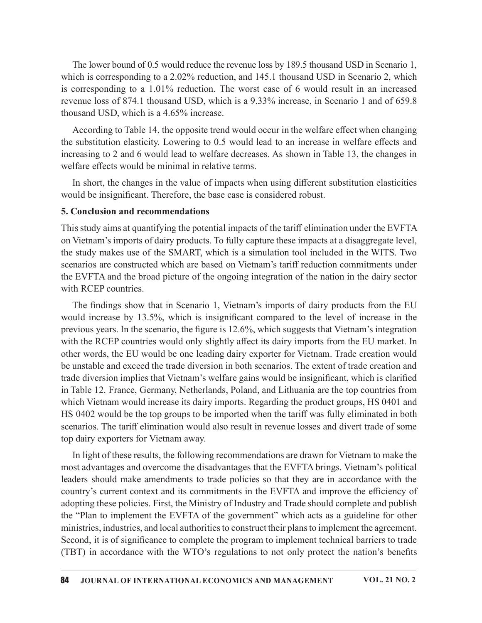The lower bound of 0.5 would reduce the revenue loss by 189.5 thousand USD in Scenario 1, which is corresponding to a 2.02% reduction, and 145.1 thousand USD in Scenario 2, which is corresponding to a 1.01% reduction. The worst case of 6 would result in an increased revenue loss of 874.1 thousand USD, which is a 9.33% increase, in Scenario 1 and of 659.8 thousand USD, which is a 4.65% increase.

According to Table 14, the opposite trend would occur in the welfare effect when changing the substitution elasticity. Lowering to 0.5 would lead to an increase in welfare effects and increasing to 2 and 6 would lead to welfare decreases. As shown in Table 13, the changes in welfare effects would be minimal in relative terms.

In short, the changes in the value of impacts when using different substitution elasticities would be insignificant. Therefore, the base case is considered robust.

#### 5. Conclusion and recommendations

This study aims at quantifying the potential impacts of the tariff elimination under the EVFTA on Vietnam's imports of dairy products. To fully capture these impacts at a disaggregate level, the study makes use of the SMART, which is a simulation tool included in the WITS. Two scenarios are constructed which are based on Vietnam's tariff reduction commitments under the EVFTA and the broad picture of the ongoing integration of the nation in the dairy sector with RCEP countries.

The findings show that in Scenario 1, Vietnam's imports of dairy products from the EU would increase by 13.5%, which is insignificant compared to the level of increase in the previous years. In the scenario, the figure is  $12.6\%$ , which suggests that Vietnam's integration with the RCEP countries would only slightly affect its dairy imports from the EU market. In other words, the EU would be one leading dairy exporter for Vietnam. Trade creation would be unstable and exceed the trade diversion in both scenarios. The extent of trade creation and trade diversion implies that Vietnam's welfare gains would be insignificant, which is clarified in Table 12. France, Germany, Netherlands, Poland, and Lithuania are the top countries from which Vietnam would increase its dairy imports. Regarding the product groups, HS 0401 and HS 0402 would be the top groups to be imported when the tariff was fully eliminated in both scenarios. The tariff elimination would also result in revenue losses and divert trade of some top dairy exporters for Vietnam away.

In light of these results, the following recommendations are drawn for Vietnam to make the most advantages and overcome the disadvantages that the EVFTA brings. Vietnam's political leaders should make amendments to trade policies so that they are in accordance with the country's current context and its commitments in the EVFTA and improve the efficiency of adopting these policies. First, the Ministry of Industry and Trade should complete and publish the "Plan to implement the EVFTA of the government" which acts as a guideline for other ministries, industries, and local authorities to construct their plans to implement the agreement. Second, it is of significance to complete the program to implement technical barriers to trade (TBT) in accordance with the WTO's regulations to not only protect the nation's benefits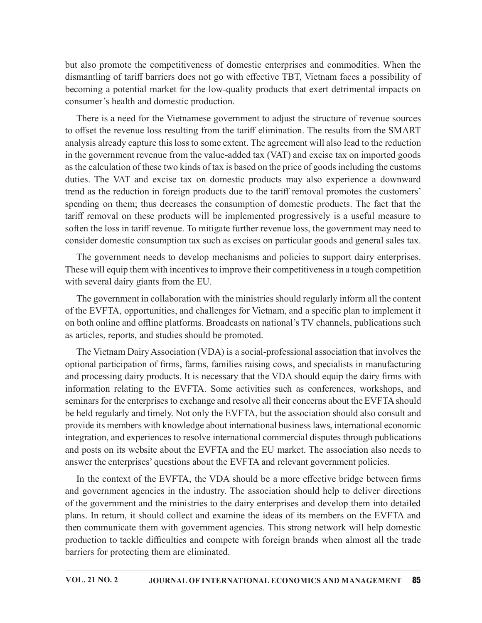but also promote the competitiveness of domestic enterprises and commodities. When the dismantling of tariff barriers does not go with effective TBT, Vietnam faces a possibility of becoming a potential market for the low-quality products that exert detrimental impacts on consumer's health and domestic production.

There is a need for the Vietnamese government to adjust the structure of revenue sources to offset the revenue loss resulting from the tariff elimination. The results from the SMART analysis already capture this lossto some extent. The agreement will also lead to the reduction in thegovernment revenue from the value-added tax (VAT) and excise tax on imported goods as the calculation of these two kinds of tax is based on the price of goods including the customs duties. The VAT and excise tax on domestic products may also experience a downward trend as the reduction in foreign products due to the tariff removal promotes the customers' spending on them; thus decreases the consumption of domestic products. The fact that the tariff removal on these products will be implemented progressively is a useful measure to soften the loss in tariff revenue. To mitigate further revenue loss, the government may need to consider domestic consumption tax such as excises on particular goods and general sales tax.

The government needs to develop mechanisms and policies to support dairy enterprises. These will equip them with incentives to improve their competitiveness in a tough competition with several dairy giants from the EU.

The government in collaboration with the ministries should regularly inform all the content of the EVFTA, opportunities, and challenges for Vietnam, and a specific plan to implement it on both online and offline platforms. Broadcasts on national's TV channels, publications such as articles, reports, and studies should be promoted.

The Vietnam Dairy Association (VDA) is a social-professional association that involves the optional participation of firms, farms, families raising cows, and specialists in manufacturing and processing dairy products. It is necessary that the VDA should equip the dairy firms with information relating to the EVFTA. Some activities such as conferences, workshops, and seminars for the enterprises to exchange and resolve all their concerns about the EVFTA should be held regularly and timely. Not only the EVFTA, but the association should also consult and provide its members with knowledge about international business laws, international economic integration, and experiences to resolve international commercial disputes through publications and posts on its website about the EVFTA and the EU market. The association also needs to answer the enterprises' questions about the EVFTA and relevant government policies.

In the context of the EVFTA, the VDA should be a more effective bridge between firms and government agencies in the industry. The association should help to deliver directions of the government and the ministries to the dairy enterprises and develop them into detailed plans. In return, it should collect and examine the ideas of its members on the EVFTA and then communicate them with government agencies. This strong network will help domestic production to tackle difficulties and compete with foreign brands when almost all the trade barriers for protecting them are eliminated.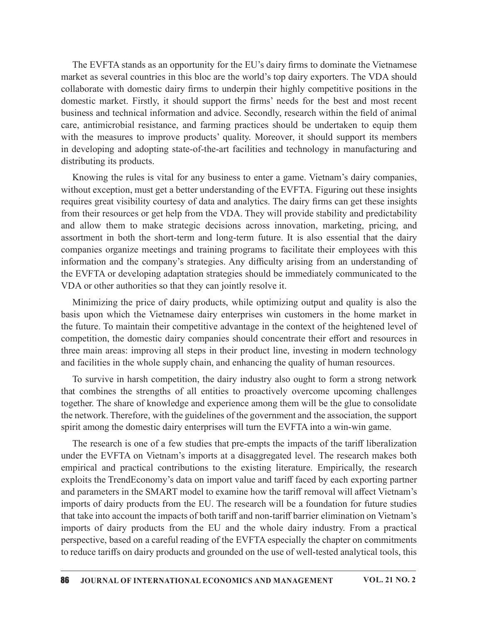The EVFTA stands as an opportunity for the EU's dairy firms to dominate the Vietnamese market as several countries in this bloc are the world's top dairy exporters. The VDA should collaborate with domestic dairy firms to underpin their highly competitive positions in the The EVFTA stands as an opportunity for the EU's dairy firms to dominate the Vietnamese<br>market as several countries in this bloc are the world's top dairy exporters. The VDA should<br>collaborate with domestic dairy firms to u business and technical information and advice. Secondly, research within the field of animal care, antimicrobial resistance, and farming practices should be undertaken to equip them with the measures to improve products' quality. Moreover, it should support its members in developing and adopting state-of-the-art facilities and technology in manufacturing and distributing its products.

Knowing the rules is vital for any business to enter a game. Vietnam's dairy companies, without exception, must get a better understanding of the EVFTA. Figuring out these insights requires great visibility courtesy of data and analytics. The dairy firms can get these insights from their resources or get help from the VDA. They will provide stability and predictability and allow them to make strategic decisions across innovation, marketing, pricing, and assortment in both the short-term and long-term future. It is also essential that the dairy companies organize meetings and training programs to facilitate their employees with this information and the company's strategies. Any difficulty arising from an understanding of the EVFTA or developing adaptation strategies should be immediately communicated to the VDA or other authorities so that they can jointly resolve it.

Minimizing the price of dairy products, while optimizing output and quality is also the basis upon which the Vietnamese dairy enterprises win customers in the home market in the future. To maintain their competitive advantage in the context of the heightened level of competition, the domestic dairy companies should concentrate their effort and resources in three main areas: improving all steps in their product line, investing in modern technology and facilities in the whole supply chain, and enhancing the quality of human resources.

To survive in harsh competition, the dairy industry also ought to form a strong network that combines the strengths of all entities to proactively overcome upcoming challenges together. The share of knowledge and experience among them will be the glue to consolidate the network. Therefore, with the guidelines of the government and the association, the support spirit among the domestic dairy enterprises will turn the EVFTA into a win-win game.

The research is one of a few studies that pre-empts the impacts of the tariff liberalization under the EVFTA on Vietnam's imports at a disaggregated level. The research makes both empirical and practical contributions to the existing literature. Empirically, the research exploits the TrendEconomy's data on import value and tariff faced by each exporting partner and parameters in the SMART model to examine how the tariff removal will affect Vietnam's imports of dairy products from the EU. The research will be a foundation for future studies that take into account the impacts of both tariff and non-tariff barrier elimination on Vietnam's imports of dairy products from the EU and the whole dairy industry. From a practical perspective, based on a careful reading of the EVFTA especially the chapter on commitments to reduce tariffs on dairy products and grounded on the use of well-tested analytical tools, this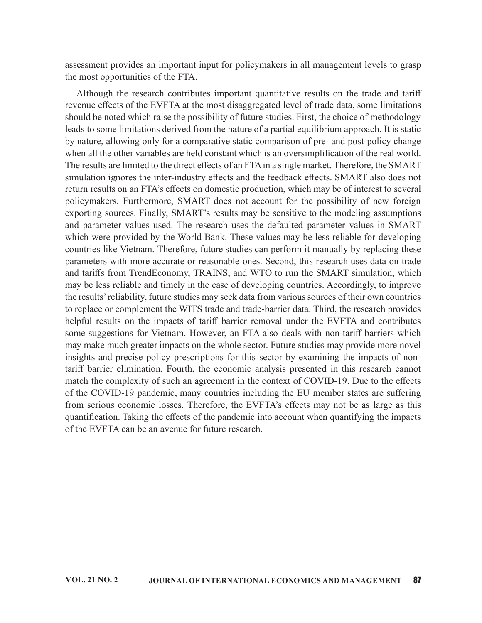assessment provides an important input for policymakers in all management levels to grasp the most opportunities of the FTA.

Although the research contributes important quantitative results on the trade and tariff revenue effects of the EVFTA at the most disaggregated level of trade data, some limitations should be noted which raise the possibility of future studies. First, the choice of methodology leads to some limitations derived from the nature of a partial equilibrium approach. It is static by nature, allowing only for a comparative static comparison of pre- and post-policy change when all the other variables are held constant which is an oversimplification of the real world. The results are limited to the direct effects of an FTA in a single market. Therefore, the SMART simulation ignores the inter-industry effects and the feedback effects. SMART also does not return results on an FTA's effects on domestic production, which may be of interest to several policymakers. Furthermore, SMART does not account for the possibility of new foreign exporting sources. Finally, SMART's results may be sensitive to the modeling assumptions and parameter values used. The research uses the defaulted parameter values in SMART which were provided by the World Bank. These values may be less reliable for developing countries like Vietnam. Therefore, future studies can perform it manually by replacing these parameters with more accurate or reasonable ones. Second, this research uses data on trade and tariffs from TrendEconomy, TRAINS, and WTO to run the SMART simulation, which may be less reliable and timely in the case of developing countries. Accordingly, to improve the results' reliability, future studies may seek data from various sources of their own countries to replace or complement the WITS trade and trade-barrier data. Third, the research provides helpful results on the impacts of tariff barrier removal under the EVFTA and contributes some suggestions for Vietnam. However, an FTA also deals with non-tariff barriers which may make much greater impacts on the whole sector. Future studies may provide more novel insights and precise policy prescriptions for this sector by examining the impacts of nontariff barrier elimination. Fourth, the economic analysis presented in this research cannot match the complexity of such an agreement in the context of COVID-19. Due to the effects of the COVID-19 pandemic, many countries including the EU member states are suffering from serious economic losses. Therefore, the EVFTA's effects may not be as large as this quantification. Taking the effects of the pandemic into account when quantifying the impacts of the EVFTA can be an avenue for future research.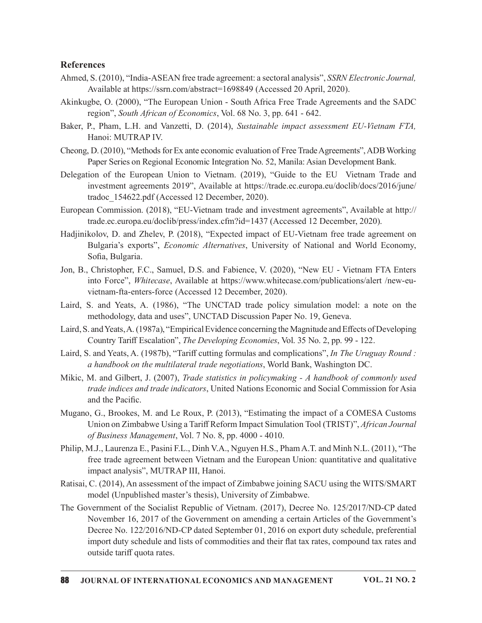#### References

- Ahmed, S. (2010), "India-ASEAN free trade agreement: a sectoral analysis", SSRN Electronic Journal, Available at https://ssrn.com/abstract=1698849 (Accessed 20 April, 2020).
- Akinkugbe, O. (2000), "The European Union South Africa Free Trade Agreements and the SADC region", South African of Economics, Vol. 68 No. 3, pp. 641 - 642.
- Baker, P., Pham, L.H. and Vanzetti, D. (2014), Sustainable impact assessment EU-Vietnam FTA, Hanoi: MUTRAP IV.
- Cheong, D. (2010), "Methods for Ex ante economic evaluation of Free Trade Agreements", ADB Working Paper Series on Regional Economic Integration No. 52, Manila: Asian Development Bank.
- Delegation of the European Union to Vietnam. (2019), "Guide to the EU Vietnam Trade and investment agreements 2019", Available at https://trade.ec.europa.eu/doclib/docs/2016/june/ tradoc\_154622.pdf (Accessed 12 December, 2020).
- European Commission. (2018), "EU-Vietnam trade and investment agreements", Available at http:// trade.ec.europa.eu/doclib/press/index.cfm?id=1437 (Accessed 12 December, 2020).
- Hadjinikolov, D. and Zhelev, P. (2018), "Expected impact of EU-Vietnam free trade agreement on Bulgaria's exports", Economic Alternatives, University of National and World Economy, Sofia, Bulgaria.
- Jon, B., Christopher, F.C., Samuel, D.S. and Fabience, V. (2020), "New EU Vietnam FTA Enters into Force", Whitecase, Available at https://www.whitecase.com/publications/alert /new-euvietnam-fta-enters-force (Accessed 12 December, 2020).
- Laird, S. and Yeats, A. (1986), "The UNCTAD trade policy simulation model: a note on the methodology, data and uses", UNCTAD Discussion Paper No. 19, Geneva.
- Laird, S. and Yeats, A. (1987a), "Empirical Evidence concerning the Magnitude and Effects of Developing Country Tariff Escalation", The Developing Economies, Vol. 35 No. 2, pp. 99 - 122.
- Laird, S. and Yeats, A. (1987b), "Tariff cutting formulas and complications", In The Uruguay Round : a handbook on the multilateral trade negotiations, World Bank, Washington DC.
- Mikic, M. and Gilbert, J. (2007), *Trade statistics in policymaking A handbook of commonly used* trade indices and trade indicators, United Nations Economic and Social Commission for Asia and the Pacific.
- Mugano, G., Brookes, M. and Le Roux, P. (2013), "Estimating the impact of a COMESA Customs Union on Zimbabwe Using a Tariff Reform Impact Simulation Tool (TRIST)", African Journal of Business Management, Vol. 7 No. 8, pp. 4000 - 4010.
- Philip, M.J., Laurenza E., Pasini F.L., Dinh V.A., Nguyen H.S., Pham A.T. and Minh N.L. (2011), "The free trade agreement between Vietnam and the European Union: quantitative and qualitative impact analysis", MUTRAP III, Hanoi.
- Ratisai, C. (2014), An assessment of the impact of Zimbabwe joining SACU using the WITS/SMART model (Unpublished master's thesis), University of Zimbabwe.
- The Government of the Socialist Republic of Vietnam. (2017), Decree No. 125/2017/ND-CP dated November 16, 2017 of the Government on amending a certain Articles of the Government's Decree No. 122/2016/ND-CP dated September 01, 2016 on export duty schedule, preferential import duty schedule and lists of commodities and their flat tax rates, compound tax rates and outside tariff quota rates.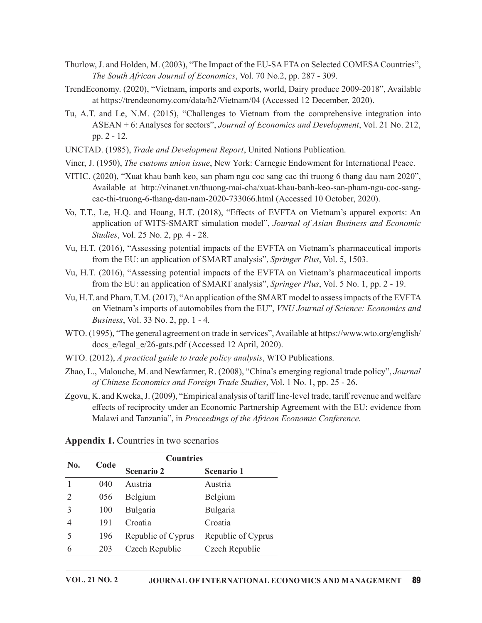- Thurlow, J. and Holden, M. (2003), "The Impact of the EU-SA FTA on Selected COMESA Countries", The South African Journal of Economics, Vol. 70 No.2, pp. 287 - 309.
- TrendEconomy. (2020), "Vietnam, imports and exports, world, Dairy produce 2009-2018", Available at https://trendeonomy.com/data/h2/Vietnam/04 (Accessed 12 December, 2020).
- Tu, A.T. and Le, N.M. (2015), "Challenges to Vietnam from the comprehensive integration into ASEAN + 6: Analyses for sectors", Journal of Economics and Development, Vol. 21 No. 212, pp. 2 - 12.
- UNCTAD. (1985), Trade and Development Report, United Nations Publication.
- Viner, J. (1950), The customs union issue, New York: Carnegie Endowment for International Peace.
- VITIC. (2020), "Xuat khau banh keo, san pham ngu coc sang cac thi truong 6 thang dau nam 2020", Available at http://vinanet.vn/thuong-mai-cha/xuat-khau-banh-keo-san-pham-ngu-coc-sangcac-thi-truong-6-thang-dau-nam-2020-733066.html (Accessed 10 October, 2020).
- Vo, T.T., Le, H.Q. and Hoang, H.T. (2018), "Effects of EVFTA on Vietnam's apparel exports: An application of WITS-SMART simulation model", Journal of Asian Business and Economic Studies, Vol. 25 No. 2, pp. 4 - 28.
- Vu, H.T. (2016), "Assessing potential impacts of the EVFTA on Vietnam's pharmaceutical imports from the EU: an application of SMART analysis", Springer Plus, Vol. 5, 1503.
- Vu, H.T. (2016), "Assessing potential impacts of the EVFTA on Vietnam's pharmaceutical imports from the EU: an application of SMART analysis", Springer Plus, Vol. 5 No. 1, pp. 2 - 19.
- Vu, H.T. and Pham, T.M. (2017), "An application of the SMART model to assess impacts of the EVFTA on Vietnam's imports of automobiles from the EU", VNU Journal of Science: Economics and Business, Vol. 33 No. 2, pp. 1 - 4.
- WTO. (1995), "The general agreement on trade in services", Available at https://www.wto.org/english/ docs e/legal e/26-gats.pdf (Accessed 12 April, 2020).
- WTO. (2012), A practical guide to trade policy analysis, WTO Publications.
- Zhao, L., Malouche, M. and Newfarmer, R. (2008), "China's emerging regional trade policy", Journal of Chinese Economics and Foreign Trade Studies, Vol. 1 No. 1, pp. 25 - 26.
- Zgovu, K. and Kweka, J. (2009), "Empirical analysis of tariff line-level trade, tariff revenue and welfare effects of reciprocity under an Economic Partnership Agreement with the EU: evidence from Malawi and Tanzania", in Proceedings of the African Economic Conference.

|              |      |                                                                            |                    | Vu, H.T. (2016), "Assessing potential impacts of the EVFTA on Vietnam's pharmaceutical imports<br>from the EU: an application of SMART analysis", Springer Plus, Vol. 5 No. 1, pp. 2 - 19.          |  |
|--------------|------|----------------------------------------------------------------------------|--------------------|-----------------------------------------------------------------------------------------------------------------------------------------------------------------------------------------------------|--|
|              |      | Business, Vol. 33 No. 2, pp. 1 - 4.                                        |                    | Vu, H.T. and Pham, T.M. (2017), "An application of the SMART model to assess impacts of the EVFTA<br>on Vietnam's imports of automobiles from the EU", <i>VNU Journal of Science: Economics and</i> |  |
|              |      | docs e/legal e/26-gats.pdf (Accessed 12 April, 2020).                      |                    | WTO. (1995), "The general agreement on trade in services", Available at https://www.wto.org/english/                                                                                                |  |
|              |      | WTO. (2012), A practical guide to trade policy analysis, WTO Publications. |                    |                                                                                                                                                                                                     |  |
|              |      |                                                                            |                    | Zhao, L., Malouche, M. and Newfarmer, R. (2008), "China's emerging regional trade policy", Journal<br>of Chinese Economics and Foreign Trade Studies, Vol. 1 No. 1, pp. 25 - 26.                    |  |
|              |      |                                                                            |                    |                                                                                                                                                                                                     |  |
|              |      | <b>Appendix 1.</b> Countries in two scenarios                              |                    | Malawi and Tanzania", in Proceedings of the African Economic Conference.                                                                                                                            |  |
|              |      | <b>Countries</b>                                                           |                    |                                                                                                                                                                                                     |  |
| No.          | Code | <b>Scenario 2</b>                                                          | Scenario 1         |                                                                                                                                                                                                     |  |
| $\mathbf{1}$ | 040  | Austria                                                                    | Austria            |                                                                                                                                                                                                     |  |
| 2            | 056  | Belgium                                                                    | Belgium            |                                                                                                                                                                                                     |  |
| 3            | 100  | Bulgaria                                                                   | Bulgaria           |                                                                                                                                                                                                     |  |
| 4            | 191  | Croatia                                                                    | Croatia            |                                                                                                                                                                                                     |  |
| 5            | 196  | Republic of Cyprus                                                         | Republic of Cyprus |                                                                                                                                                                                                     |  |
| 6            | 203  | Czech Republic                                                             | Czech Republic     |                                                                                                                                                                                                     |  |
|              |      |                                                                            |                    |                                                                                                                                                                                                     |  |

Appendix 1. Countries in two scenarios